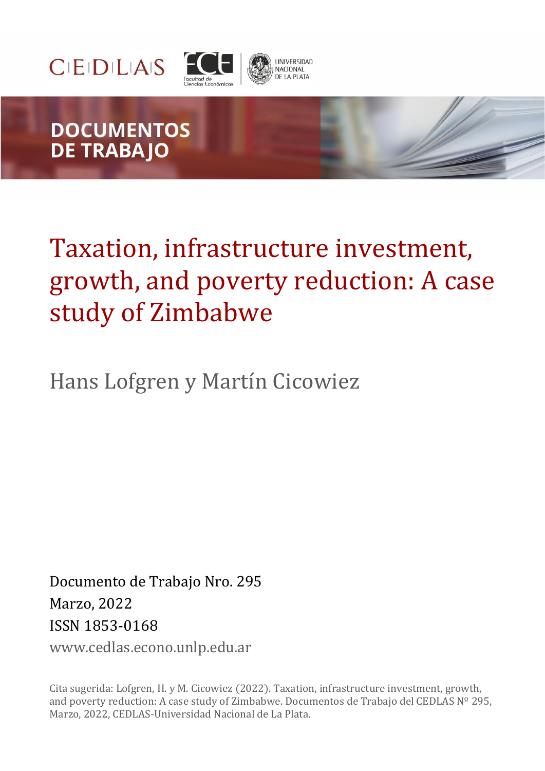



# **DOCUMENTOS DE TRABAJO**

# Taxation, infrastructure investment, growth, and poverty reduction: A case study of Zimbabwe

**JNIVERSIDAD** NACIONAL<br>DE LA PLATA

Hans Lofgren y Martín Cicowiez

Documento de Trabajo Nro. 295 Marzo, 2022 ISSN 1853-0168

www.cedlas.econo.unlp.edu.ar

Cita sugerida: Lofgren, H. y M. Cicowiez (2022). Taxation, infrastructure investment, growth, and poverty reduction: A case study of Zimbabwe. Documentos de Trabajo del CEDLAS Nº 295, Marzo, 2022, CEDLAS-Universidad Nacional de La Plata.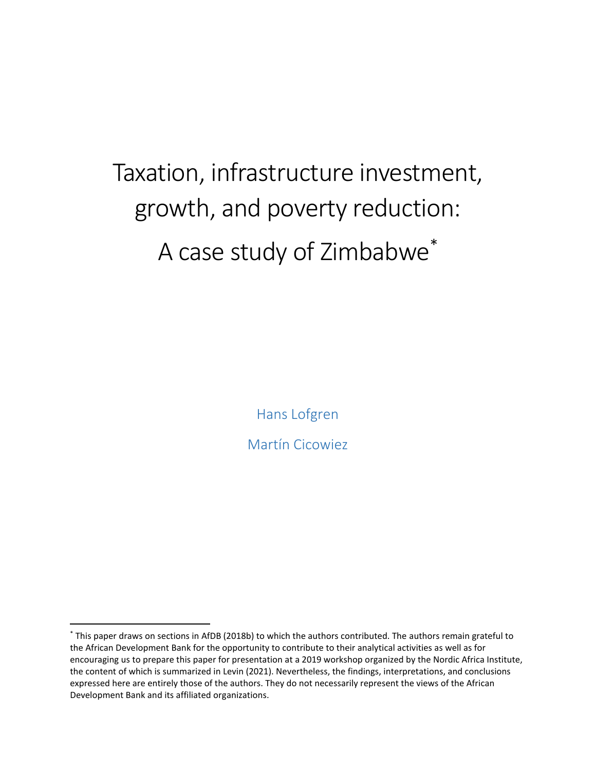# Taxation, infrastructure investment, growth, and poverty reduction: A case study of Zimbabwe[\\*](#page-1-0)

Hans Lofgren

Martín Cicowiez

<span id="page-1-0"></span><sup>\*</sup> This paper draws on sections in AfDB (2018b) to which the authors contributed. The authors remain grateful to the African Development Bank for the opportunity to contribute to their analytical activities as well as for encouraging us to prepare this paper for presentation at a 2019 workshop organized by the Nordic Africa Institute, the content of which is summarized in Levin (2021). Nevertheless, the findings, interpretations, and conclusions expressed here are entirely those of the authors. They do not necessarily represent the views of the African Development Bank and its affiliated organizations.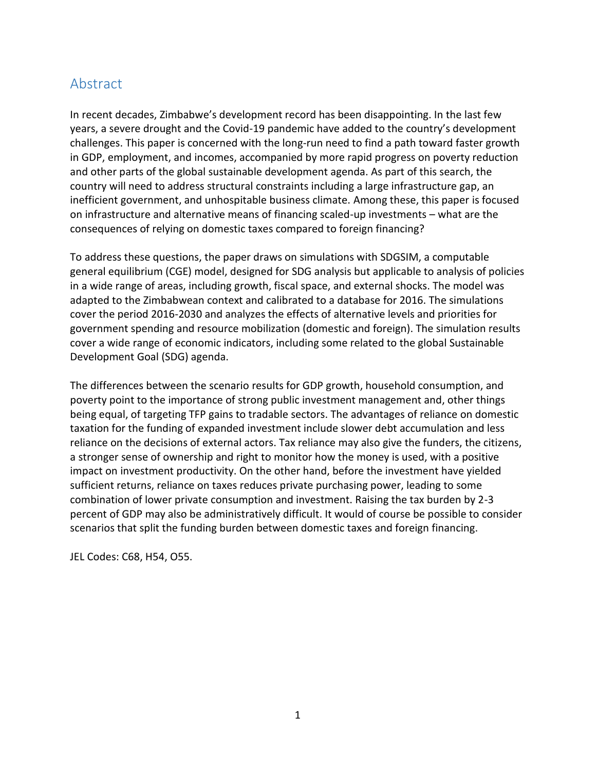# Abstract

In recent decades, Zimbabwe's development record has been disappointing. In the last few years, a severe drought and the Covid-19 pandemic have added to the country's development challenges. This paper is concerned with the long-run need to find a path toward faster growth in GDP, employment, and incomes, accompanied by more rapid progress on poverty reduction and other parts of the global sustainable development agenda. As part of this search, the country will need to address structural constraints including a large infrastructure gap, an inefficient government, and unhospitable business climate. Among these, this paper is focused on infrastructure and alternative means of financing scaled-up investments – what are the consequences of relying on domestic taxes compared to foreign financing?

To address these questions, the paper draws on simulations with SDGSIM, a computable general equilibrium (CGE) model, designed for SDG analysis but applicable to analysis of policies in a wide range of areas, including growth, fiscal space, and external shocks. The model was adapted to the Zimbabwean context and calibrated to a database for 2016. The simulations cover the period 2016-2030 and analyzes the effects of alternative levels and priorities for government spending and resource mobilization (domestic and foreign). The simulation results cover a wide range of economic indicators, including some related to the global Sustainable Development Goal (SDG) agenda.

The differences between the scenario results for GDP growth, household consumption, and poverty point to the importance of strong public investment management and, other things being equal, of targeting TFP gains to tradable sectors. The advantages of reliance on domestic taxation for the funding of expanded investment include slower debt accumulation and less reliance on the decisions of external actors. Tax reliance may also give the funders, the citizens, a stronger sense of ownership and right to monitor how the money is used, with a positive impact on investment productivity. On the other hand, before the investment have yielded sufficient returns, reliance on taxes reduces private purchasing power, leading to some combination of lower private consumption and investment. Raising the tax burden by 2-3 percent of GDP may also be administratively difficult. It would of course be possible to consider scenarios that split the funding burden between domestic taxes and foreign financing.

JEL Codes: C68, H54, O55.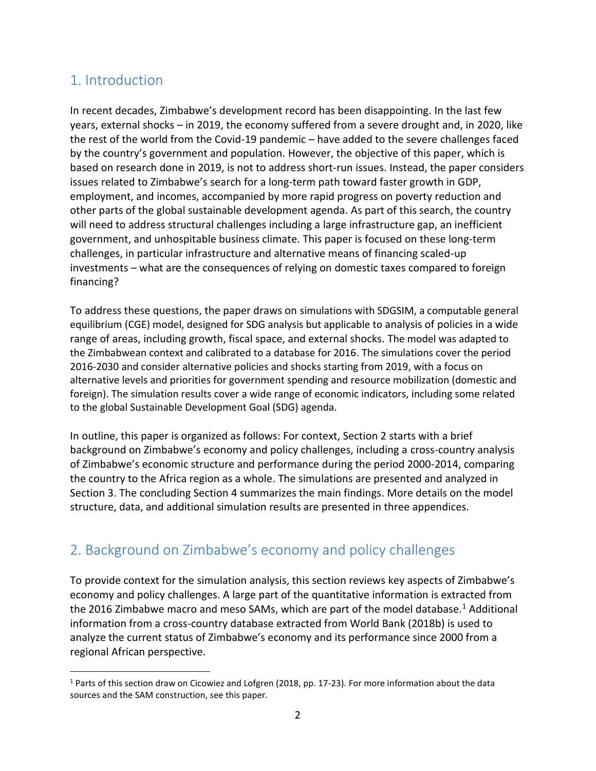# 1. Introduction

In recent decades, Zimbabwe's development record has been disappointing. In the last few years, external shocks – in 2019, the economy suffered from a severe drought and, in 2020, like the rest of the world from the Covid-19 pandemic – have added to the severe challenges faced by the country's government and population. However, the objective of this paper, which is based on research done in 2019, is not to address short-run issues. Instead, the paper considers issues related to Zimbabwe's search for a long-term path toward faster growth in GDP, employment, and incomes, accompanied by more rapid progress on poverty reduction and other parts of the global sustainable development agenda. As part of this search, the country will need to address structural challenges including a large infrastructure gap, an inefficient government, and unhospitable business climate. This paper is focused on these long-term challenges, in particular infrastructure and alternative means of financing scaled-up investments – what are the consequences of relying on domestic taxes compared to foreign financing?

To address these questions, the paper draws on simulations with SDGSIM, a computable general equilibrium (CGE) model, designed for SDG analysis but applicable to analysis of policies in a wide range of areas, including growth, fiscal space, and external shocks. The model was adapted to the Zimbabwean context and calibrated to a database for 2016. The simulations cover the period 2016-2030 and consider alternative policies and shocks starting from 2019, with a focus on alternative levels and priorities for government spending and resource mobilization (domestic and foreign). The simulation results cover a wide range of economic indicators, including some related to the global Sustainable Development Goal (SDG) agenda.

In outline, this paper is organized as follows: For context, Section 2 starts with a brief background on Zimbabwe's economy and policy challenges, including a cross-country analysis of Zimbabwe's economic structure and performance during the period 2000-2014, comparing the country to the Africa region as a whole. The simulations are presented and analyzed in Section 3. The concluding Section 4 summarizes the main findings. More details on the model structure, data, and additional simulation results are presented in three appendices.

# 2. Background on Zimbabwe's economy and policy challenges

To provide context for the simulation analysis, this section reviews key aspects of Zimbabwe's economy and policy challenges. A large part of the quantitative information is extracted from the 20[1](#page-3-0)6 Zimbabwe macro and meso SAMs, which are part of the model database.<sup>1</sup> Additional information from a cross-country database extracted from World Bank (2018b) is used to analyze the current status of Zimbabwe's economy and its performance since 2000 from a regional African perspective.

<span id="page-3-0"></span> $1$  Parts of this section draw on Cicowiez and Lofgren (2018, pp. 17-23). For more information about the data sources and the SAM construction, see this paper.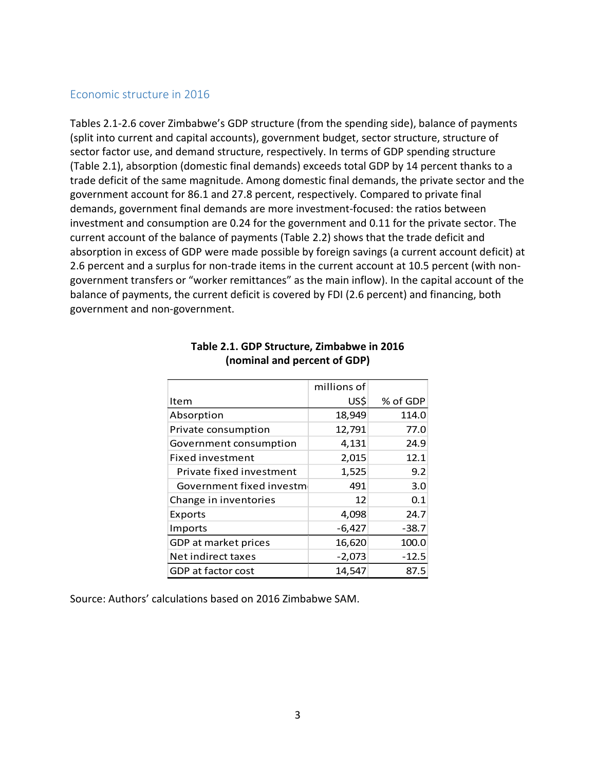#### Economic structure in 2016

Tables 2.1-2.6 cover Zimbabwe's GDP structure (from the spending side), balance of payments (split into current and capital accounts), government budget, sector structure, structure of sector factor use, and demand structure, respectively. In terms of GDP spending structure (Table 2.1), absorption (domestic final demands) exceeds total GDP by 14 percent thanks to a trade deficit of the same magnitude. Among domestic final demands, the private sector and the government account for 86.1 and 27.8 percent, respectively. Compared to private final demands, government final demands are more investment-focused: the ratios between investment and consumption are 0.24 for the government and 0.11 for the private sector. The current account of the balance of payments (Table 2.2) shows that the trade deficit and absorption in excess of GDP were made possible by foreign savings (a current account deficit) at 2.6 percent and a surplus for non-trade items in the current account at 10.5 percent (with nongovernment transfers or "worker remittances" as the main inflow). In the capital account of the balance of payments, the current deficit is covered by FDI (2.6 percent) and financing, both government and non-government.

|                           | millions of |          |
|---------------------------|-------------|----------|
| Item                      | US\$        | % of GDP |
| Absorption                | 18,949      | 114.0    |
| Private consumption       | 12,791      | 77.0     |
| Government consumption    | 4,131       | 24.9     |
| Fixed investment          | 2,015       | 12.1     |
| Private fixed investment  | 1,525       | 9.2      |
| Government fixed investme | 491         | 3.0      |
| Change in inventories     | 12          | 0.1      |
| Exports                   | 4,098       | 24.7     |
| Imports                   | $-6,427$    | $-38.7$  |
| GDP at market prices      | 16,620      | 100.0    |
| Net indirect taxes        | $-2,073$    | $-12.5$  |
| GDP at factor cost        | 14.547      | 87.5     |

### **Table 2.1. GDP Structure, Zimbabwe in 2016 (nominal and percent of GDP)**

Source: Authors' calculations based on 2016 Zimbabwe SAM.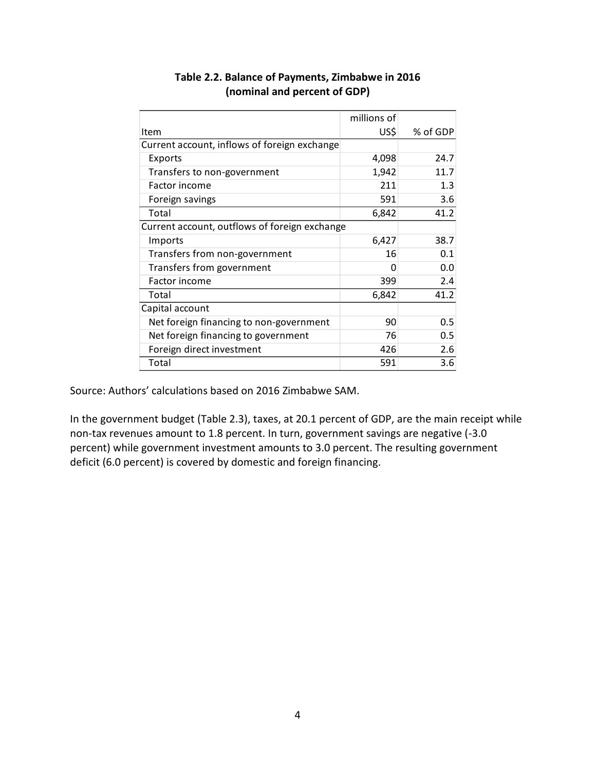|                                               | millions of |          |
|-----------------------------------------------|-------------|----------|
| Item                                          | US\$        | % of GDP |
| Current account, inflows of foreign exchange  |             |          |
| Exports                                       | 4,098       | 24.7     |
| Transfers to non-government                   | 1,942       | 11.7     |
| Factor income                                 | 211         | 1.3      |
| Foreign savings                               | 591         | 3.6      |
| Total                                         | 6,842       | 41.2     |
| Current account, outflows of foreign exchange |             |          |
| Imports                                       | 6,427       | 38.7     |
| Transfers from non-government                 | 16          | 0.1      |
| Transfers from government                     |             | 0.0      |
| Factor income                                 | 399         | 2.4      |
| Total                                         | 6,842       | 41.2     |
| Capital account                               |             |          |
| Net foreign financing to non-government       | 90          | 0.5      |
| Net foreign financing to government           | 76          | 0.5      |
| Foreign direct investment                     | 426         | 2.6      |
| Total                                         | 591         | 3.6      |

# **Table 2.2. Balance of Payments, Zimbabwe in 2016 (nominal and percent of GDP)**

Source: Authors' calculations based on 2016 Zimbabwe SAM.

In the government budget (Table 2.3), taxes, at 20.1 percent of GDP, are the main receipt while non-tax revenues amount to 1.8 percent. In turn, government savings are negative (-3.0 percent) while government investment amounts to 3.0 percent. The resulting government deficit (6.0 percent) is covered by domestic and foreign financing.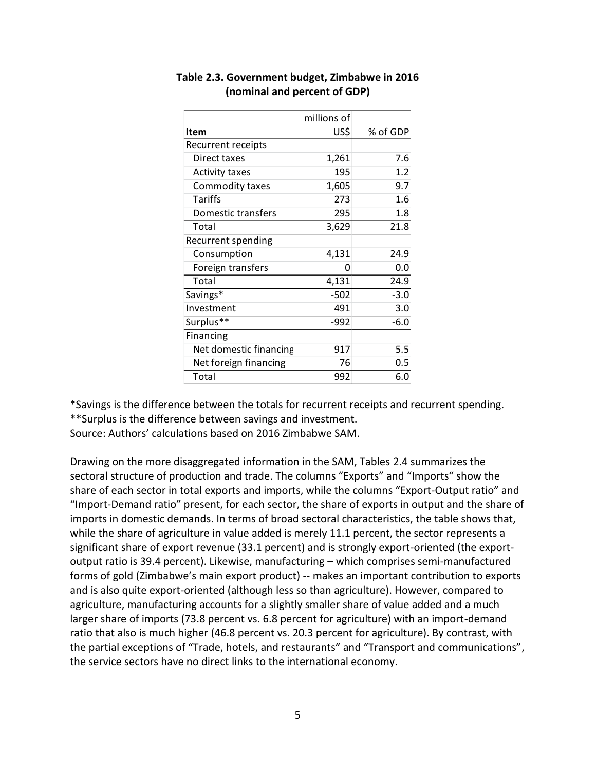|                        | millions of |          |
|------------------------|-------------|----------|
| Item                   | US\$        | % of GDP |
| Recurrent receipts     |             |          |
| Direct taxes           | 1,261       | 7.6      |
| Activity taxes         | 195         | 1.2      |
| Commodity taxes        | 1,605       | 9.7      |
| Tariffs                | 273         | 1.6      |
| Domestic transfers     | 295         | 1.8      |
| Total                  | 3,629       | 21.8     |
| Recurrent spending     |             |          |
| Consumption            | 4,131       | 24.9     |
| Foreign transfers      | O           | 0.0      |
| Total                  | 4,131       | 24.9     |
| Savings*               | $-502$      | $-3.0$   |
| Investment             | 491         | 3.0      |
| Surplus**              | $-992$      | $-6.0$   |
| Financing              |             |          |
| Net domestic financing | 917         | 5.5      |
| Net foreign financing  | 76          | 0.5      |
| Total                  | 992         | 6.0      |

## **Table 2.3. Government budget, Zimbabwe in 2016 (nominal and percent of GDP)**

\*Savings is the difference between the totals for recurrent receipts and recurrent spending.

\*\*Surplus is the difference between savings and investment.

Source: Authors' calculations based on 2016 Zimbabwe SAM.

Drawing on the more disaggregated information in the SAM, Tables 2.4 summarizes the sectoral structure of production and trade. The columns "Exports" and "Imports" show the share of each sector in total exports and imports, while the columns "Export-Output ratio" and "Import-Demand ratio" present, for each sector, the share of exports in output and the share of imports in domestic demands. In terms of broad sectoral characteristics, the table shows that, while the share of agriculture in value added is merely 11.1 percent, the sector represents a significant share of export revenue (33.1 percent) and is strongly export-oriented (the exportoutput ratio is 39.4 percent). Likewise, manufacturing – which comprises semi-manufactured forms of gold (Zimbabwe's main export product) -- makes an important contribution to exports and is also quite export-oriented (although less so than agriculture). However, compared to agriculture, manufacturing accounts for a slightly smaller share of value added and a much larger share of imports (73.8 percent vs. 6.8 percent for agriculture) with an import-demand ratio that also is much higher (46.8 percent vs. 20.3 percent for agriculture). By contrast, with the partial exceptions of "Trade, hotels, and restaurants" and "Transport and communications", the service sectors have no direct links to the international economy.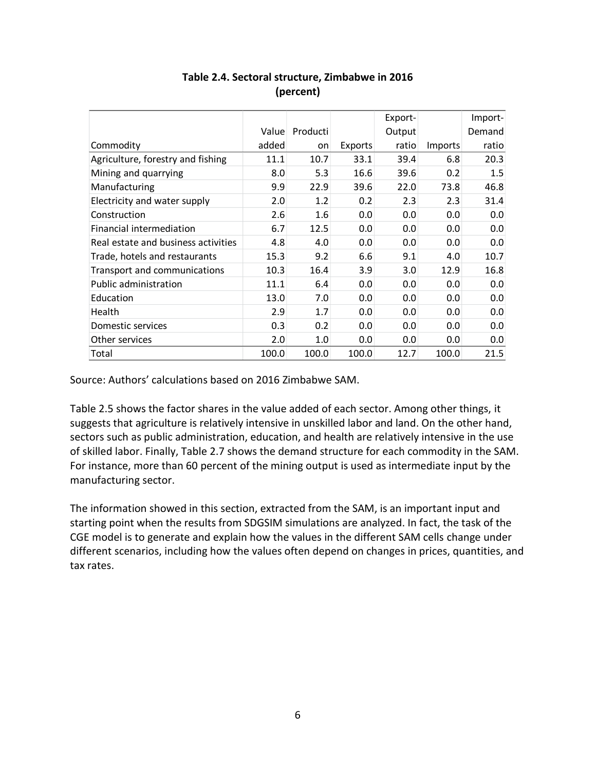|                                     |       |          |         | Export- |         | Import- |
|-------------------------------------|-------|----------|---------|---------|---------|---------|
|                                     | Value | Producti |         | Output  |         | Demand  |
| Commodity                           | added | on       | Exports | ratio   | Imports | ratio   |
| Agriculture, forestry and fishing   | 11.1  | 10.7     | 33.1    | 39.4    | 6.8     | 20.3    |
| Mining and quarrying                | 8.0   | 5.3      | 16.6    | 39.6    | 0.2     | 1.5     |
| Manufacturing                       | 9.9   | 22.9     | 39.6    | 22.0    | 73.8    | 46.8    |
| Electricity and water supply        | 2.0   | 1.2      | 0.2     | 2.3     | 2.3     | 31.4    |
| Construction                        | 2.6   | 1.6      | 0.0     | 0.0     | 0.0     | 0.0     |
| Financial intermediation            | 6.7   | 12.5     | 0.0     | 0.0     | 0.0     | 0.0     |
| Real estate and business activities | 4.8   | 4.0      | 0.0     | 0.0     | 0.0     | 0.0     |
| Trade, hotels and restaurants       | 15.3  | 9.2      | 6.6     | 9.1     | 4.0     | 10.7    |
| Transport and communications        | 10.3  | 16.4     | 3.9     | 3.0     | 12.9    | 16.8    |
| <b>Public administration</b>        | 11.1  | 6.4      | 0.0     | 0.0     | 0.0     | 0.0     |
| Education                           | 13.0  | 7.0      | 0.0     | 0.0     | 0.0     | 0.0     |
| Health                              | 2.9   | 1.7      | 0.0     | 0.0     | 0.0     | 0.0     |
| Domestic services                   | 0.3   | 0.2      | 0.0     | 0.0     | 0.0     | 0.0     |
| Other services                      | 2.0   | 1.0      | 0.0     | 0.0     | 0.0     | 0.0     |
| Total                               | 100.0 | 100.0    | 100.0   | 12.7    | 100.0   | 21.5    |

# **Table 2.4. Sectoral structure, Zimbabwe in 2016 (percent)**

Source: Authors' calculations based on 2016 Zimbabwe SAM.

Table 2.5 shows the factor shares in the value added of each sector. Among other things, it suggests that agriculture is relatively intensive in unskilled labor and land. On the other hand, sectors such as public administration, education, and health are relatively intensive in the use of skilled labor. Finally, Table 2.7 shows the demand structure for each commodity in the SAM. For instance, more than 60 percent of the mining output is used as intermediate input by the manufacturing sector.

The information showed in this section, extracted from the SAM, is an important input and starting point when the results from SDGSIM simulations are analyzed. In fact, the task of the CGE model is to generate and explain how the values in the different SAM cells change under different scenarios, including how the values often depend on changes in prices, quantities, and tax rates.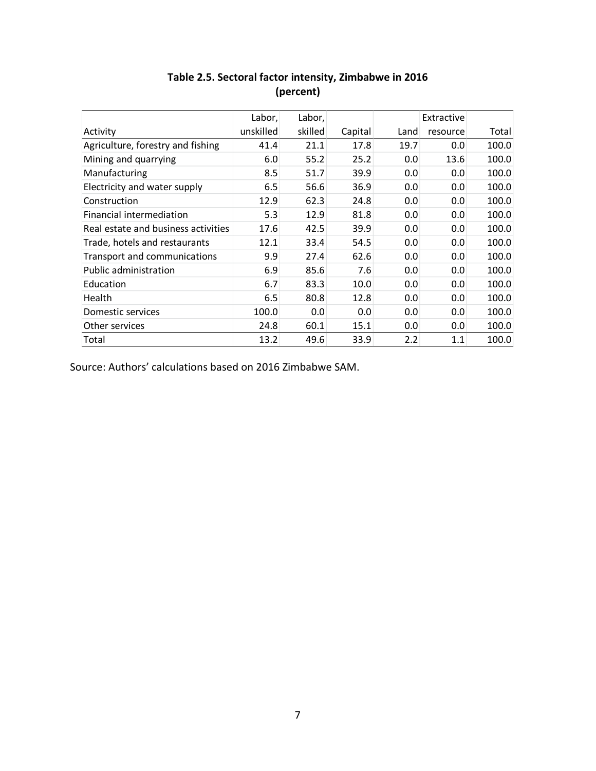|                                     | Labor,    | Labor,  |         |      | Extractive |       |
|-------------------------------------|-----------|---------|---------|------|------------|-------|
| Activity                            | unskilled | skilled | Capital | Land | resource   | Total |
| Agriculture, forestry and fishing   | 41.4      | 21.1    | 17.8    | 19.7 | 0.0        | 100.0 |
| Mining and quarrying                | 6.0       | 55.2    | 25.2    | 0.0  | 13.6       | 100.0 |
| Manufacturing                       | 8.5       | 51.7    | 39.9    | 0.0  | 0.0        | 100.0 |
| Electricity and water supply        | 6.5       | 56.6    | 36.9    | 0.0  | 0.0        | 100.0 |
| Construction                        | 12.9      | 62.3    | 24.8    | 0.0  | 0.0        | 100.0 |
| Financial intermediation            | 5.3       | 12.9    | 81.8    | 0.0  | 0.0        | 100.0 |
| Real estate and business activities | 17.6      | 42.5    | 39.9    | 0.0  | 0.0        | 100.0 |
| Trade, hotels and restaurants       | 12.1      | 33.4    | 54.5    | 0.0  | 0.0        | 100.0 |
| Transport and communications        | 9.9       | 27.4    | 62.6    | 0.0  | 0.0        | 100.0 |
| Public administration               | 6.9       | 85.6    | 7.6     | 0.0  | 0.0        | 100.0 |
| Education                           | 6.7       | 83.3    | 10.0    | 0.0  | 0.0        | 100.0 |
| <b>Health</b>                       | 6.5       | 80.8    | 12.8    | 0.0  | 0.0        | 100.0 |
| Domestic services                   | 100.0     | 0.0     | 0.0     | 0.0  | 0.0        | 100.0 |
| Other services                      | 24.8      | 60.1    | 15.1    | 0.0  | 0.0        | 100.0 |
| Total                               | 13.2      | 49.6    | 33.9    | 2.2  | 1.1        | 100.0 |

# **Table 2.5. Sectoral factor intensity, Zimbabwe in 2016 (percent)**

Source: Authors' calculations based on 2016 Zimbabwe SAM.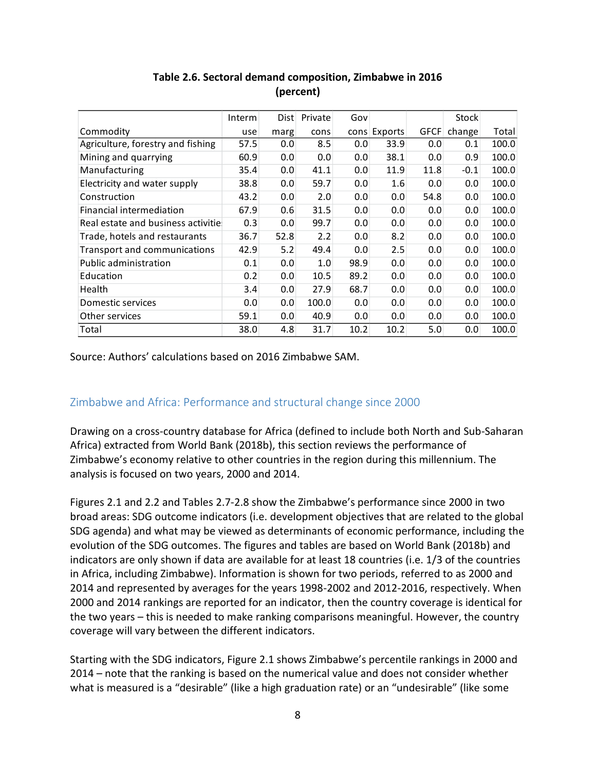|                                     | Interm | Dist | Private | Gov  |              |             | Stock  |       |
|-------------------------------------|--------|------|---------|------|--------------|-------------|--------|-------|
| Commodity                           | use    | marg | cons    |      | cons Exports | <b>GFCF</b> | change | Total |
| Agriculture, forestry and fishing   | 57.5   | 0.0  | 8.5     | 0.0  | 33.9         | 0.0         | 0.1    | 100.0 |
| Mining and quarrying                | 60.9   | 0.0  | 0.0     | 0.0  | 38.1         | 0.0         | 0.9    | 100.0 |
| Manufacturing                       | 35.4   | 0.0  | 41.1    | 0.0  | 11.9         | 11.8        | $-0.1$ | 100.0 |
| Electricity and water supply        | 38.8   | 0.0  | 59.7    | 0.0  | 1.6          | 0.0         | 0.0    | 100.0 |
| Construction                        | 43.2   | 0.0  | 2.0     | 0.0  | 0.0          | 54.8        | 0.0    | 100.0 |
| Financial intermediation            | 67.9   | 0.6  | 31.5    | 0.0  | 0.0          | 0.0         | 0.0    | 100.0 |
| Real estate and business activitie  | 0.3    | 0.0  | 99.7    | 0.0  | 0.0          | 0.0         | 0.0    | 100.0 |
| Trade, hotels and restaurants       | 36.7   | 52.8 | 2.2     | 0.0  | 8.2          | 0.0         | 0.0    | 100.0 |
| <b>Transport and communications</b> | 42.9   | 5.2  | 49.4    | 0.0  | 2.5          | 0.0         | 0.0    | 100.0 |
| <b>Public administration</b>        | 0.1    | 0.0  | 1.0     | 98.9 | 0.0          | 0.0         | 0.0    | 100.0 |
| Education                           | 0.2    | 0.0  | 10.5    | 89.2 | 0.0          | 0.0         | 0.0    | 100.0 |
| Health                              | 3.4    | 0.0  | 27.9    | 68.7 | 0.0          | 0.0         | 0.0    | 100.0 |
| Domestic services                   | 0.0    | 0.0  | 100.0   | 0.0  | 0.0          | 0.0         | 0.0    | 100.0 |
| Other services                      | 59.1   | 0.0  | 40.9    | 0.0  | 0.0          | 0.0         | 0.0    | 100.0 |
| Total                               | 38.0   | 4.8  | 31.7    | 10.2 | 10.2         | 5.0         | 0.0    | 100.0 |

# **Table 2.6. Sectoral demand composition, Zimbabwe in 2016 (percent)**

Source: Authors' calculations based on 2016 Zimbabwe SAM.

# Zimbabwe and Africa: Performance and structural change since 2000

Drawing on a cross-country database for Africa (defined to include both North and Sub-Saharan Africa) extracted from World Bank (2018b), this section reviews the performance of Zimbabwe's economy relative to other countries in the region during this millennium. The analysis is focused on two years, 2000 and 2014.

Figures 2.1 and 2.2 and Tables 2.7-2.8 show the Zimbabwe's performance since 2000 in two broad areas: SDG outcome indicators (i.e. development objectives that are related to the global SDG agenda) and what may be viewed as determinants of economic performance, including the evolution of the SDG outcomes. The figures and tables are based on World Bank (2018b) and indicators are only shown if data are available for at least 18 countries (i.e. 1/3 of the countries in Africa, including Zimbabwe). Information is shown for two periods, referred to as 2000 and 2014 and represented by averages for the years 1998-2002 and 2012-2016, respectively. When 2000 and 2014 rankings are reported for an indicator, then the country coverage is identical for the two years – this is needed to make ranking comparisons meaningful. However, the country coverage will vary between the different indicators.

Starting with the SDG indicators, Figure 2.1 shows Zimbabwe's percentile rankings in 2000 and 2014 – note that the ranking is based on the numerical value and does not consider whether what is measured is a "desirable" (like a high graduation rate) or an "undesirable" (like some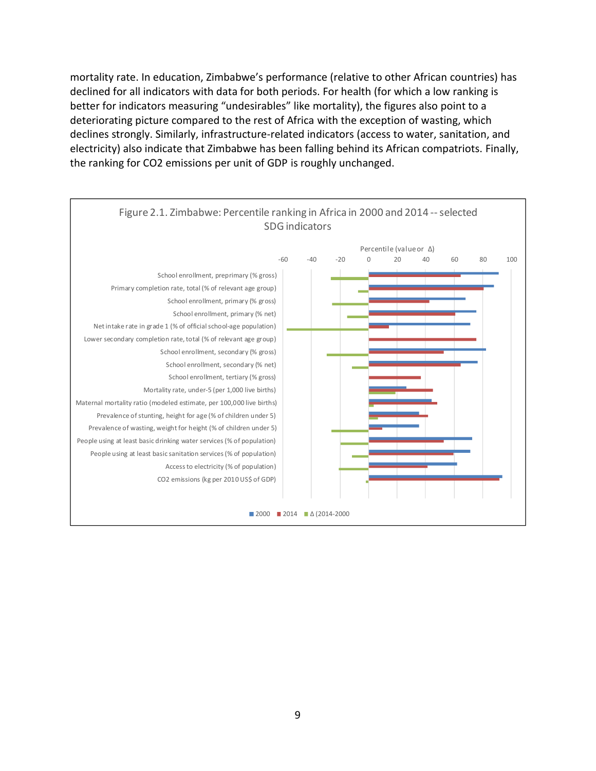mortality rate. In education, Zimbabwe's performance (relative to other African countries) has declined for all indicators with data for both periods. For health (for which a low ranking is better for indicators measuring "undesirables" like mortality), the figures also point to a deteriorating picture compared to the rest of Africa with the exception of wasting, which declines strongly. Similarly, infrastructure-related indicators (access to water, sanitation, and electricity) also indicate that Zimbabwe has been falling behind its African compatriots. Finally, the ranking for CO2 emissions per unit of GDP is roughly unchanged.

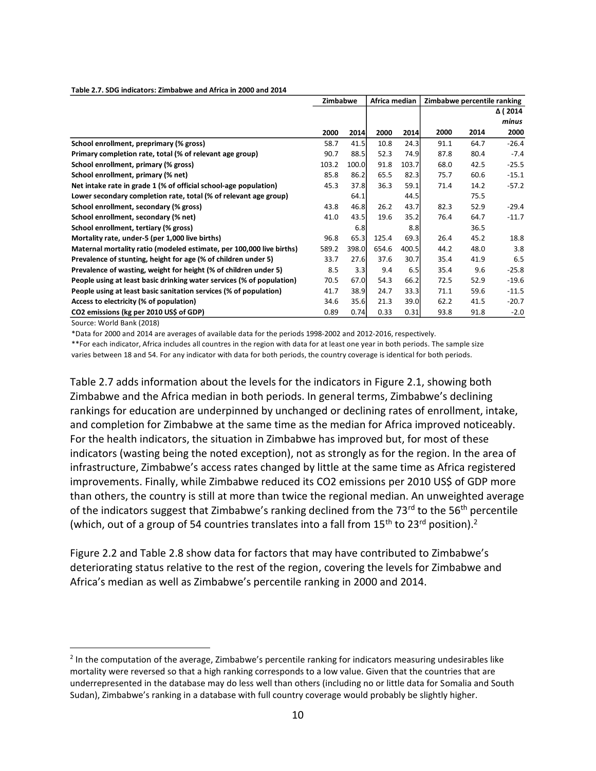#### **Table 2.7. SDG indicators: Zimbabwe and Africa in 2000 and 2014**

| Δ ( 2014                                                                                                                         |        |
|----------------------------------------------------------------------------------------------------------------------------------|--------|
|                                                                                                                                  |        |
| minus                                                                                                                            |        |
| 2000<br>2000<br>2014<br>2000<br>2014<br>2000<br>2014                                                                             |        |
| School enrollment, preprimary (% gross)<br>41.5<br>10.8<br>64.7<br>$-26.4$<br>58.7<br>24.3<br>91.1                               |        |
| 88.5<br>80.4<br>$-7.4$<br>Primary completion rate, total (% of relevant age group)<br>52.3<br>74.9<br>87.8<br>90.7               |        |
| School enrollment, primary (% gross)<br>103.2<br>100.0<br>91.8<br>103.7<br>68.0<br>42.5<br>$-25.5$                               |        |
| School enrollment, primary (% net)<br>65.5<br>85.8<br>86.2<br>82.3<br>75.7<br>60.6<br>$-15.1$                                    |        |
| Net intake rate in grade 1 (% of official school-age population)<br>37.8<br>36.3<br>59.1<br>45.3<br>71.4<br>14.2<br>$-57.2$      |        |
| Lower secondary completion rate, total (% of relevant age group)<br>64.1<br>44.5<br>75.5                                         |        |
| 46.8<br>School enrollment, secondary (% gross)<br>43.7<br>82.3<br>52.9<br>43.8<br>26.2<br>$-29.4$                                |        |
| 43.5<br>35.2<br>64.7<br>School enrollment, secondary (% net)<br>41.0<br>19.6<br>76.4<br>$-11.7$                                  |        |
| School enrollment, tertiary (% gross)<br>6.8<br>8.8<br>36.5                                                                      |        |
| Mortality rate, under-5 (per 1,000 live births)<br>65.3<br>125.4<br>69.3<br>26.4<br>45.2<br>18.8<br>96.8                         |        |
| Maternal mortality ratio (modeled estimate, per 100,000 live births)<br>589.2<br>398.0<br>654.6<br>44.2<br>48.0<br>400.5         | 3.8    |
| Prevalence of stunting, height for age (% of children under 5)<br>33.7<br>27.6<br>37.6<br>30.7<br>35.4<br>41.9                   | 6.5    |
| 3.3<br>9.4<br>Prevalence of wasting, weight for height (% of children under 5)<br>8.5<br>6.5<br>35.4<br>9.6<br>$-25.8$           |        |
| People using at least basic drinking water services (% of population)<br>70.5<br>67.0<br>54.3<br>66.2<br>72.5<br>52.9<br>$-19.6$ |        |
| 38.9<br>People using at least basic sanitation services (% of population)<br>41.7<br>24.7<br>33.3<br>71.1<br>59.6<br>$-11.5$     |        |
| 35.6<br>Access to electricity (% of population)<br>21.3<br>39.0<br>62.2<br>41.5<br>$-20.7$<br>34.6                               |        |
| CO2 emissions (kg per 2010 US\$ of GDP)<br>93.8<br>0.74<br>0.33<br>0.31<br>91.8<br>0.89                                          | $-2.0$ |

Source: World Bank (2018)

\*Data for 2000 and 2014 are averages of available data for the periods 1998-2002 and 2012-2016, respectively.

\*\*For each indicator, Africa includes all countres in the region with data for at least one year in both periods. The sample size

varies between 18 and 54. For any indicator with data for both periods, the country coverage is identical for both periods.

Table 2.7 adds information about the levels for the indicators in Figure 2.1, showing both Zimbabwe and the Africa median in both periods. In general terms, Zimbabwe's declining rankings for education are underpinned by unchanged or declining rates of enrollment, intake, and completion for Zimbabwe at the same time as the median for Africa improved noticeably. For the health indicators, the situation in Zimbabwe has improved but, for most of these indicators (wasting being the noted exception), not as strongly as for the region. In the area of infrastructure, Zimbabwe's access rates changed by little at the same time as Africa registered improvements. Finally, while Zimbabwe reduced its CO2 emissions per 2010 US\$ of GDP more than others, the country is still at more than twice the regional median. An unweighted average of the indicators suggest that Zimbabwe's ranking declined from the  $73<sup>rd</sup>$  to the 56<sup>th</sup> percentile (which, out of a group of 54 countries translates into a fall from  $15<sup>th</sup>$  to  $23<sup>rd</sup>$  position)[.](#page-11-0)<sup>2</sup>

Figure 2.2 and Table 2.8 show data for factors that may have contributed to Zimbabwe's deteriorating status relative to the rest of the region, covering the levels for Zimbabwe and Africa's median as well as Zimbabwe's percentile ranking in 2000 and 2014.

<span id="page-11-0"></span> $2$  In the computation of the average, Zimbabwe's percentile ranking for indicators measuring undesirables like mortality were reversed so that a high ranking corresponds to a low value. Given that the countries that are underrepresented in the database may do less well than others (including no or little data for Somalia and South Sudan), Zimbabwe's ranking in a database with full country coverage would probably be slightly higher.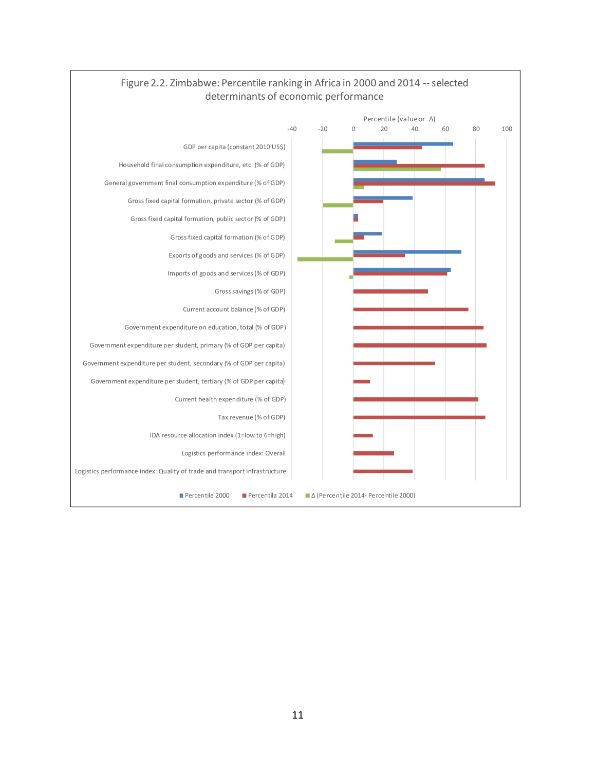

## Figure 2.2. Zimbabwe: Percentile ranking in Africa in 2000 and 2014 --selected determinants of economic performance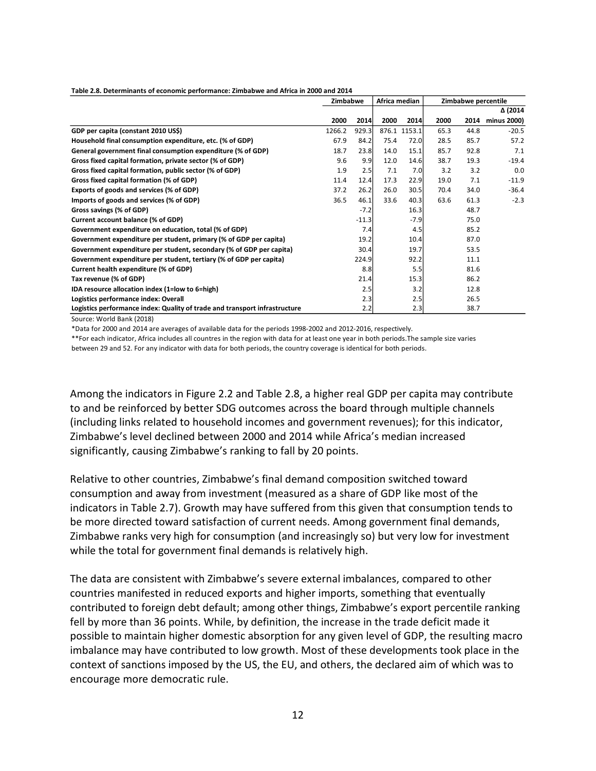|                                                                            |        | Africa median<br>Zimbabwe |       |        | Zimbabwe percentile |      |             |
|----------------------------------------------------------------------------|--------|---------------------------|-------|--------|---------------------|------|-------------|
|                                                                            |        |                           |       |        |                     |      | Δ (2014     |
|                                                                            | 2000   | 2014                      | 2000  | 2014   | 2000                | 2014 | minus 2000) |
| GDP per capita (constant 2010 US\$)                                        | 1266.2 | 929.3                     | 876.1 | 1153.1 | 65.3                | 44.8 | $-20.5$     |
| Household final consumption expenditure, etc. (% of GDP)                   | 67.9   | 84.2                      | 75.4  | 72.0   | 28.5                | 85.7 | 57.2        |
| General government final consumption expenditure (% of GDP)                | 18.7   | 23.8                      | 14.0  | 15.1   | 85.7                | 92.8 | 7.1         |
| Gross fixed capital formation, private sector (% of GDP)                   | 9.6    | 9.9                       | 12.0  | 14.6   | 38.7                | 19.3 | $-19.4$     |
| Gross fixed capital formation, public sector (% of GDP)                    | 1.9    | 2.5                       | 7.1   | 7.0    | 3.2                 | 3.2  | 0.0         |
| Gross fixed capital formation (% of GDP)                                   | 11.4   | 12.4                      | 17.3  | 22.9   | 19.0                | 7.1  | $-11.9$     |
| Exports of goods and services (% of GDP)                                   | 37.2   | 26.2                      | 26.0  | 30.5   | 70.4                | 34.0 | $-36.4$     |
| Imports of goods and services (% of GDP)                                   | 36.5   | 46.1                      | 33.6  | 40.3   | 63.6                | 61.3 | $-2.3$      |
| Gross savings (% of GDP)                                                   |        | $-7.2$                    |       | 16.3   |                     | 48.7 |             |
| Current account balance (% of GDP)                                         |        | $-11.3$                   |       | $-7.9$ |                     | 75.0 |             |
| Government expenditure on education, total (% of GDP)                      |        | 7.4                       |       | 4.5    |                     | 85.2 |             |
| Government expenditure per student, primary (% of GDP per capita)          |        | 19.2                      |       | 10.4   |                     | 87.0 |             |
| Government expenditure per student, secondary (% of GDP per capita)        |        | 30.4                      |       | 19.7   |                     | 53.5 |             |
| Government expenditure per student, tertiary (% of GDP per capita)         |        | 224.9                     |       | 92.2   |                     | 11.1 |             |
| Current health expenditure (% of GDP)                                      |        | 8.8                       |       | 5.5    |                     | 81.6 |             |
| Tax revenue (% of GDP)                                                     |        | 21.4                      |       | 15.3   |                     | 86.2 |             |
| IDA resource allocation index (1=low to 6=high)                            |        | 2.5                       |       | 3.2    |                     | 12.8 |             |
| Logistics performance index: Overall                                       |        | 2.3                       |       | 2.5    |                     | 26.5 |             |
| Logistics performance index: Quality of trade and transport infrastructure |        | 2.2                       |       | 2.3    |                     | 38.7 |             |

#### **Table 2.8. Determinants of economic performance: Zimbabwe and Africa in 2000 and 2014**

Source: World Bank (2018)

\*Data for 2000 and 2014 are averages of available data for the periods 1998-2002 and 2012-2016, respectively.

\*\*For each indicator, Africa includes all countres in the region with data for at least one year in both periods.The sample size varies

between 29 and 52. For any indicator with data for both periods, the country coverage is identical for both periods.

Among the indicators in Figure 2.2 and Table 2.8, a higher real GDP per capita may contribute to and be reinforced by better SDG outcomes across the board through multiple channels (including links related to household incomes and government revenues); for this indicator, Zimbabwe's level declined between 2000 and 2014 while Africa's median increased significantly, causing Zimbabwe's ranking to fall by 20 points.

Relative to other countries, Zimbabwe's final demand composition switched toward consumption and away from investment (measured as a share of GDP like most of the indicators in Table 2.7). Growth may have suffered from this given that consumption tends to be more directed toward satisfaction of current needs. Among government final demands, Zimbabwe ranks very high for consumption (and increasingly so) but very low for investment while the total for government final demands is relatively high.

The data are consistent with Zimbabwe's severe external imbalances, compared to other countries manifested in reduced exports and higher imports, something that eventually contributed to foreign debt default; among other things, Zimbabwe's export percentile ranking fell by more than 36 points. While, by definition, the increase in the trade deficit made it possible to maintain higher domestic absorption for any given level of GDP, the resulting macro imbalance may have contributed to low growth. Most of these developments took place in the context of sanctions imposed by the US, the EU, and others, the declared aim of which was to encourage more democratic rule.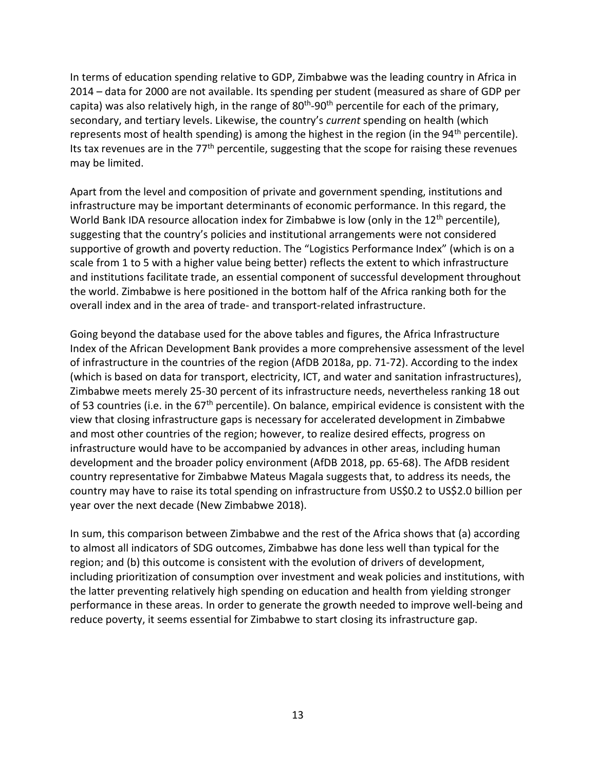In terms of education spending relative to GDP, Zimbabwe was the leading country in Africa in 2014 – data for 2000 are not available. Its spending per student (measured as share of GDP per capita) was also relatively high, in the range of 80<sup>th</sup>-90<sup>th</sup> percentile for each of the primary, secondary, and tertiary levels. Likewise, the country's *current* spending on health (which represents most of health spending) is among the highest in the region (in the  $94<sup>th</sup>$  percentile). Its tax revenues are in the  $77<sup>th</sup>$  percentile, suggesting that the scope for raising these revenues may be limited.

Apart from the level and composition of private and government spending, institutions and infrastructure may be important determinants of economic performance. In this regard, the World Bank IDA resource allocation index for Zimbabwe is low (only in the 12<sup>th</sup> percentile), suggesting that the country's policies and institutional arrangements were not considered supportive of growth and poverty reduction. The "Logistics Performance Index" (which is on a scale from 1 to 5 with a higher value being better) reflects the extent to which infrastructure and institutions facilitate trade, an essential component of successful development throughout the world. Zimbabwe is here positioned in the bottom half of the Africa ranking both for the overall index and in the area of trade- and transport-related infrastructure.

Going beyond the database used for the above tables and figures, the Africa Infrastructure Index of the African Development Bank provides a more comprehensive assessment of the level of infrastructure in the countries of the region (AfDB 2018a, pp. 71-72). According to the index (which is based on data for transport, electricity, ICT, and water and sanitation infrastructures), Zimbabwe meets merely 25-30 percent of its infrastructure needs, nevertheless ranking 18 out of 53 countries (i.e. in the 67<sup>th</sup> percentile). On balance, empirical evidence is consistent with the view that closing infrastructure gaps is necessary for accelerated development in Zimbabwe and most other countries of the region; however, to realize desired effects, progress on infrastructure would have to be accompanied by advances in other areas, including human development and the broader policy environment (AfDB 2018, pp. 65-68). The AfDB resident country representative for Zimbabwe Mateus Magala suggests that, to address its needs, the country may have to raise its total spending on infrastructure from US\$0.2 to US\$2.0 billion per year over the next decade (New Zimbabwe 2018).

In sum, this comparison between Zimbabwe and the rest of the Africa shows that (a) according to almost all indicators of SDG outcomes, Zimbabwe has done less well than typical for the region; and (b) this outcome is consistent with the evolution of drivers of development, including prioritization of consumption over investment and weak policies and institutions, with the latter preventing relatively high spending on education and health from yielding stronger performance in these areas. In order to generate the growth needed to improve well-being and reduce poverty, it seems essential for Zimbabwe to start closing its infrastructure gap.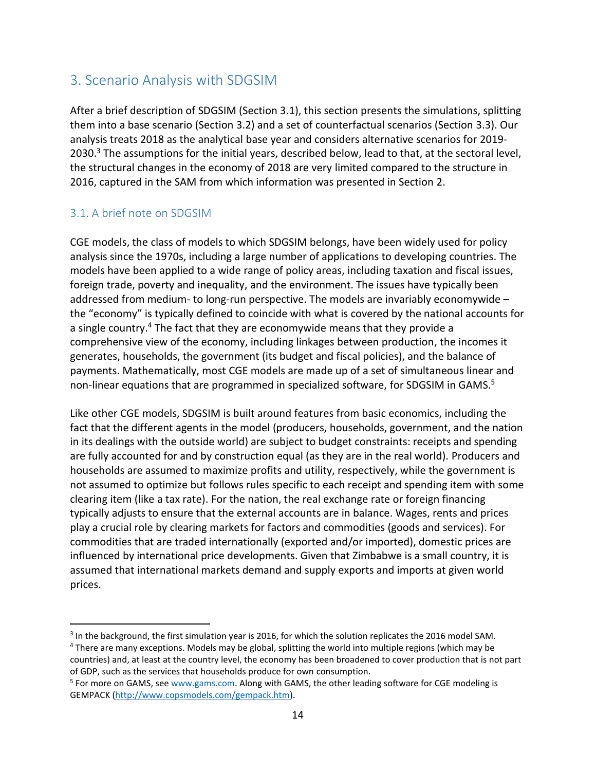# 3. Scenario Analysis with SDGSIM

After a brief description of SDGSIM (Section 3.1), this section presents the simulations, splitting them into a base scenario (Section 3.2) and a set of counterfactual scenarios (Section 3.3). Our analysis treats 2018 as the analytical base year and considers alternative scenarios for 2019- 20[3](#page-15-0)0.<sup>3</sup> The assumptions for the initial years, described below, lead to that, at the sectoral level, the structural changes in the economy of 2018 are very limited compared to the structure in 2016, captured in the SAM from which information was presented in Section 2.

# 3.1. A brief note on SDGSIM

CGE models, the class of models to which SDGSIM belongs, have been widely used for policy analysis since the 1970s, including a large number of applications to developing countries. The models have been applied to a wide range of policy areas, including taxation and fiscal issues, foreign trade, poverty and inequality, and the environment. The issues have typically been addressed from medium- to long-run perspective. The models are invariably economywide – the "economy" is typically defined to coincide with what is covered by the national accounts for a single country.[4](#page-15-1) The fact that they are economywide means that they provide a comprehensive view of the economy, including linkages between production, the incomes it generates, households, the government (its budget and fiscal policies), and the balance of payments. Mathematically, most CGE models are made up of a set of simultaneous linear and non-linear equations that are programmed in specialized software, for SDGSIM in GAMS.<sup>5</sup>

Like other CGE models, SDGSIM is built around features from basic economics, including the fact that the different agents in the model (producers, households, government, and the nation in its dealings with the outside world) are subject to budget constraints: receipts and spending are fully accounted for and by construction equal (as they are in the real world). Producers and households are assumed to maximize profits and utility, respectively, while the government is not assumed to optimize but follows rules specific to each receipt and spending item with some clearing item (like a tax rate). For the nation, the real exchange rate or foreign financing typically adjusts to ensure that the external accounts are in balance. Wages, rents and prices play a crucial role by clearing markets for factors and commodities (goods and services). For commodities that are traded internationally (exported and/or imported), domestic prices are influenced by international price developments. Given that Zimbabwe is a small country, it is assumed that international markets demand and supply exports and imports at given world prices.

<span id="page-15-0"></span><sup>&</sup>lt;sup>3</sup> In the background, the first simulation year is 2016, for which the solution replicates the 2016 model SAM.

<span id="page-15-1"></span><sup>4</sup> There are many exceptions. Models may be global, splitting the world into multiple regions (which may be countries) and, at least at the country level, the economy has been broadened to cover production that is not part of GDP, such as the services that households produce for own consumption.

<sup>&</sup>lt;sup>5</sup> For more on GAMS, see [www.gams.com.](http://www.gams.com/) Along with GAMS, the other leading software for CGE modeling is GEMPACK [\(http://www.copsmodels.com/gempack.htm\)](http://www.copsmodels.com/gempack.htm).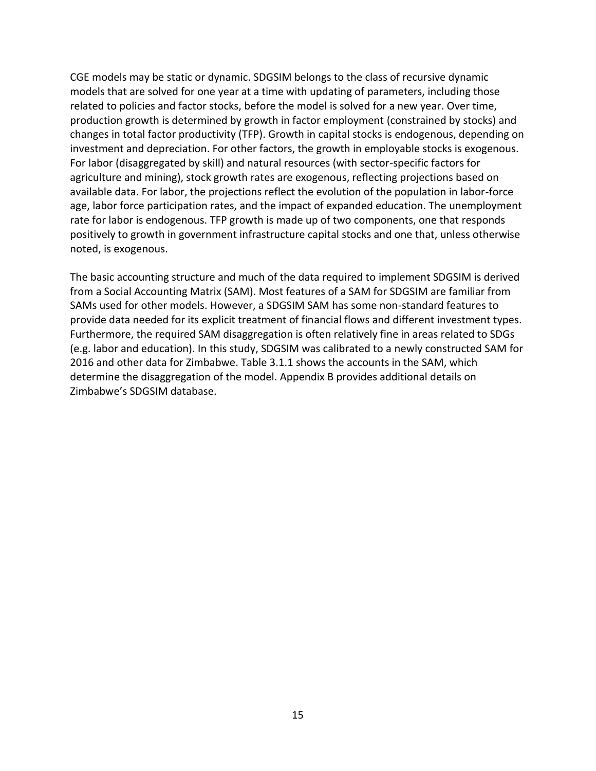CGE models may be static or dynamic. SDGSIM belongs to the class of recursive dynamic models that are solved for one year at a time with updating of parameters, including those related to policies and factor stocks, before the model is solved for a new year. Over time, production growth is determined by growth in factor employment (constrained by stocks) and changes in total factor productivity (TFP). Growth in capital stocks is endogenous, depending on investment and depreciation. For other factors, the growth in employable stocks is exogenous. For labor (disaggregated by skill) and natural resources (with sector-specific factors for agriculture and mining), stock growth rates are exogenous, reflecting projections based on available data. For labor, the projections reflect the evolution of the population in labor-force age, labor force participation rates, and the impact of expanded education. The unemployment rate for labor is endogenous. TFP growth is made up of two components, one that responds positively to growth in government infrastructure capital stocks and one that, unless otherwise noted, is exogenous.

The basic accounting structure and much of the data required to implement SDGSIM is derived from a Social Accounting Matrix (SAM). Most features of a SAM for SDGSIM are familiar from SAMs used for other models. However, a SDGSIM SAM has some non-standard features to provide data needed for its explicit treatment of financial flows and different investment types. Furthermore, the required SAM disaggregation is often relatively fine in areas related to SDGs (e.g. labor and education). In this study, SDGSIM was calibrated to a newly constructed SAM for 2016 and other data for Zimbabwe. Table 3.1.1 shows the accounts in the SAM, which determine the disaggregation of the model. Appendix B provides additional details on Zimbabwe's SDGSIM database.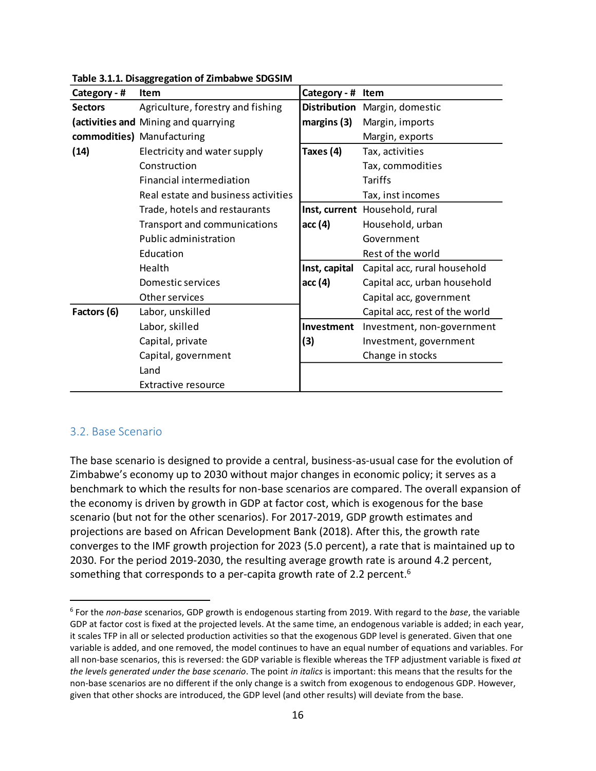| Category - #   | <b>Item</b>                          | Category - #  | Item                           |
|----------------|--------------------------------------|---------------|--------------------------------|
| <b>Sectors</b> | Agriculture, forestry and fishing    |               | Distribution Margin, domestic  |
|                | (activities and Mining and quarrying | margins (3)   | Margin, imports                |
|                | commodities) Manufacturing           |               | Margin, exports                |
| (14)           | Electricity and water supply         | Taxes (4)     | Tax, activities                |
|                | Construction                         |               | Tax, commodities               |
|                | Financial intermediation             |               | Tariffs                        |
|                | Real estate and business activities  |               | Tax, inst incomes              |
|                | Trade, hotels and restaurants        |               | Inst, current Household, rural |
|                | Transport and communications         | acc (4)       | Household, urban               |
|                | Public administration                |               | Government                     |
|                | Education                            |               | Rest of the world              |
|                | Health                               | Inst, capital | Capital acc, rural household   |
|                | Domestic services                    | acc (4)       | Capital acc, urban household   |
|                | Other services                       |               | Capital acc, government        |
| Factors (6)    | Labor, unskilled                     |               | Capital acc, rest of the world |
|                | Labor, skilled                       | Investment    | Investment, non-government     |
|                | Capital, private                     | (3)           | Investment, government         |
|                | Capital, government                  |               | Change in stocks               |
|                | Land                                 |               |                                |
|                | <b>Extractive resource</b>           |               |                                |

**Table 3.1.1. Disaggregation of Zimbabwe SDGSIM**

#### 3.2. Base Scenario

The base scenario is designed to provide a central, business-as-usual case for the evolution of Zimbabwe's economy up to 2030 without major changes in economic policy; it serves as a benchmark to which the results for non-base scenarios are compared. The overall expansion of the economy is driven by growth in GDP at factor cost, which is exogenous for the base scenario (but not for the other scenarios). For 2017-2019, GDP growth estimates and projections are based on African Development Bank (2018). After this, the growth rate converges to the IMF growth projection for 2023 (5.0 percent), a rate that is maintained up to 2030. For the period 2019-2030, the resulting average growth rate is around 4.2 percent, something that corresponds to a per-capita growth rate of 2.2 percent.<sup>[6](#page-17-0)</sup>

<span id="page-17-0"></span><sup>6</sup> For the *non-base* scenarios, GDP growth is endogenous starting from 2019. With regard to the *base*, the variable GDP at factor cost is fixed at the projected levels. At the same time, an endogenous variable is added; in each year, it scales TFP in all or selected production activities so that the exogenous GDP level is generated. Given that one variable is added, and one removed, the model continues to have an equal number of equations and variables. For all non-base scenarios, this is reversed: the GDP variable is flexible whereas the TFP adjustment variable is fixed *at the levels generated under the base scenario*. The point *in italics* is important: this means that the results for the non-base scenarios are no different if the only change is a switch from exogenous to endogenous GDP. However, given that other shocks are introduced, the GDP level (and other results) will deviate from the base.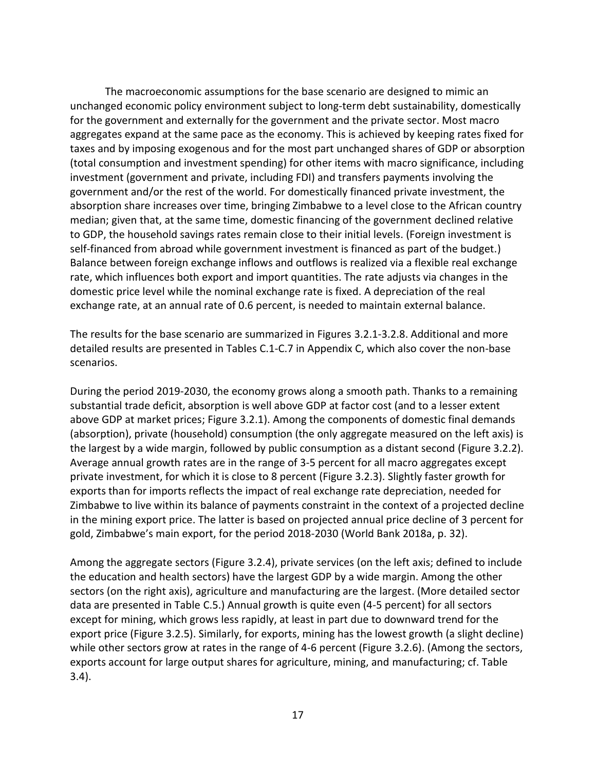The macroeconomic assumptions for the base scenario are designed to mimic an unchanged economic policy environment subject to long-term debt sustainability, domestically for the government and externally for the government and the private sector. Most macro aggregates expand at the same pace as the economy. This is achieved by keeping rates fixed for taxes and by imposing exogenous and for the most part unchanged shares of GDP or absorption (total consumption and investment spending) for other items with macro significance, including investment (government and private, including FDI) and transfers payments involving the government and/or the rest of the world. For domestically financed private investment, the absorption share increases over time, bringing Zimbabwe to a level close to the African country median; given that, at the same time, domestic financing of the government declined relative to GDP, the household savings rates remain close to their initial levels. (Foreign investment is self-financed from abroad while government investment is financed as part of the budget.) Balance between foreign exchange inflows and outflows is realized via a flexible real exchange rate, which influences both export and import quantities. The rate adjusts via changes in the domestic price level while the nominal exchange rate is fixed. A depreciation of the real exchange rate, at an annual rate of 0.6 percent, is needed to maintain external balance.

The results for the base scenario are summarized in Figures 3.2.1-3.2.8. Additional and more detailed results are presented in Tables C.1-C.7 in Appendix C, which also cover the non-base scenarios.

During the period 2019-2030, the economy grows along a smooth path. Thanks to a remaining substantial trade deficit, absorption is well above GDP at factor cost (and to a lesser extent above GDP at market prices; Figure 3.2.1). Among the components of domestic final demands (absorption), private (household) consumption (the only aggregate measured on the left axis) is the largest by a wide margin, followed by public consumption as a distant second (Figure 3.2.2). Average annual growth rates are in the range of 3-5 percent for all macro aggregates except private investment, for which it is close to 8 percent (Figure 3.2.3). Slightly faster growth for exports than for imports reflects the impact of real exchange rate depreciation, needed for Zimbabwe to live within its balance of payments constraint in the context of a projected decline in the mining export price. The latter is based on projected annual price decline of 3 percent for gold, Zimbabwe's main export, for the period 2018-2030 (World Bank 2018a, p. 32).

Among the aggregate sectors (Figure 3.2.4), private services (on the left axis; defined to include the education and health sectors) have the largest GDP by a wide margin. Among the other sectors (on the right axis), agriculture and manufacturing are the largest. (More detailed sector data are presented in Table C.5.) Annual growth is quite even (4-5 percent) for all sectors except for mining, which grows less rapidly, at least in part due to downward trend for the export price (Figure 3.2.5). Similarly, for exports, mining has the lowest growth (a slight decline) while other sectors grow at rates in the range of 4-6 percent (Figure 3.2.6). (Among the sectors, exports account for large output shares for agriculture, mining, and manufacturing; cf. Table 3.4).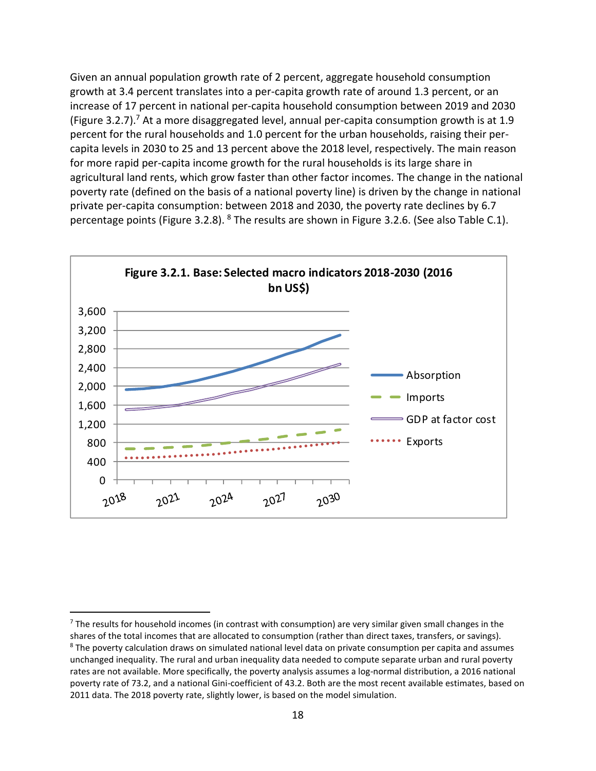Given an annual population growth rate of 2 percent, aggregate household consumption growth at 3.4 percent translates into a per-capita growth rate of around 1.3 percent, or an increase of 17 percent in national per-capita household consumption between 2019 and 2030 (Figure 3[.](#page-19-0)2.7).<sup>7</sup> At a more disaggregated level, annual per-capita consumption growth is at 1.9 percent for the rural households and 1.0 percent for the urban households, raising their percapita levels in 2030 to 25 and 13 percent above the 2018 level, respectively. The main reason for more rapid per-capita income growth for the rural households is its large share in agricultural land rents, which grow faster than other factor incomes. The change in the national poverty rate (defined on the basis of a national poverty line) is driven by the change in national private per-capita consumption: between 2018 and 2030, the poverty rate declines by 6.7 percentage points (Figure 3.2.[8](#page-19-1)). <sup>8</sup> The results are shown in Figure 3.2.6. (See also Table C.1).



<span id="page-19-0"></span> $<sup>7</sup>$  The results for household incomes (in contrast with consumption) are very similar given small changes in the</sup> shares of the total incomes that are allocated to consumption (rather than direct taxes, transfers, or savings).

<span id="page-19-1"></span><sup>&</sup>lt;sup>8</sup> The poverty calculation draws on simulated national level data on private consumption per capita and assumes unchanged inequality. The rural and urban inequality data needed to compute separate urban and rural poverty rates are not available. More specifically, the poverty analysis assumes a log-normal distribution, a 2016 national poverty rate of 73.2, and a national Gini-coefficient of 43.2. Both are the most recent available estimates, based on 2011 data. The 2018 poverty rate, slightly lower, is based on the model simulation.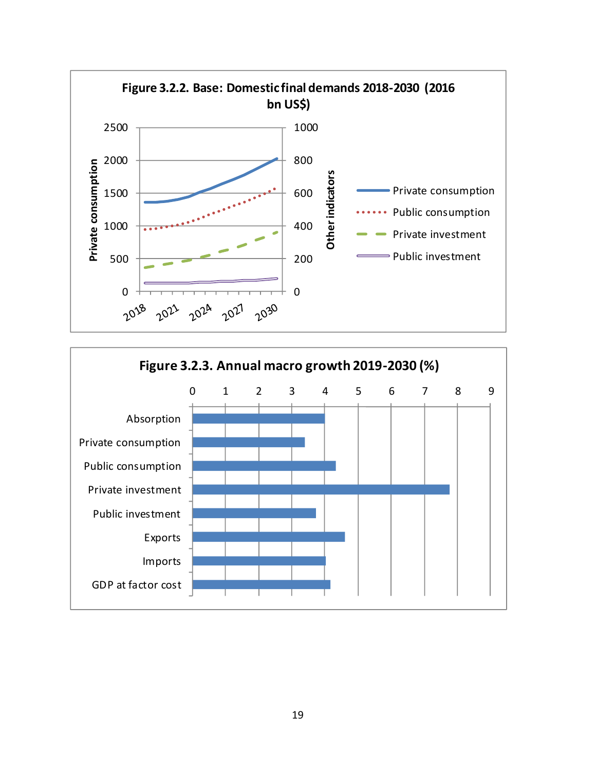

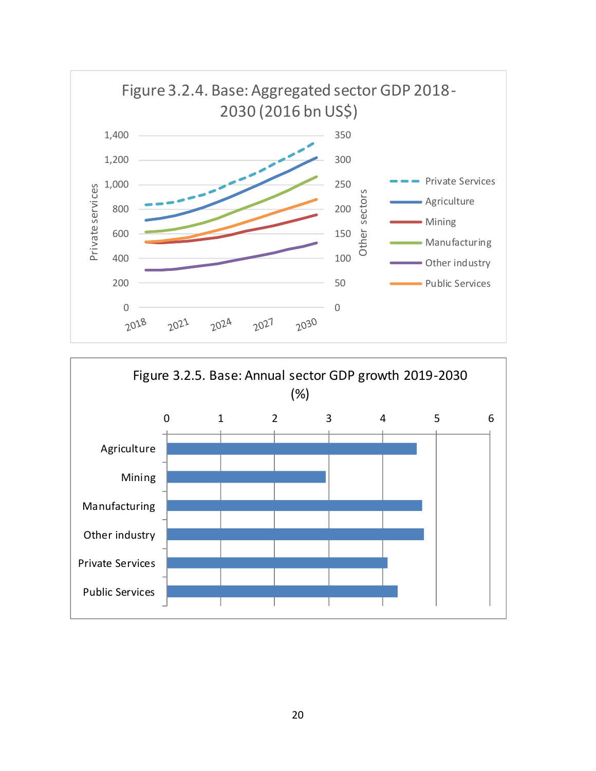

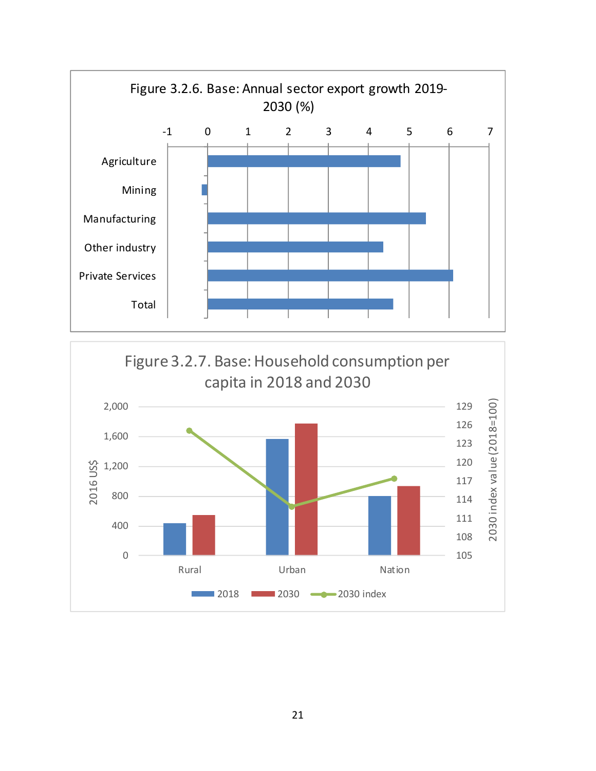

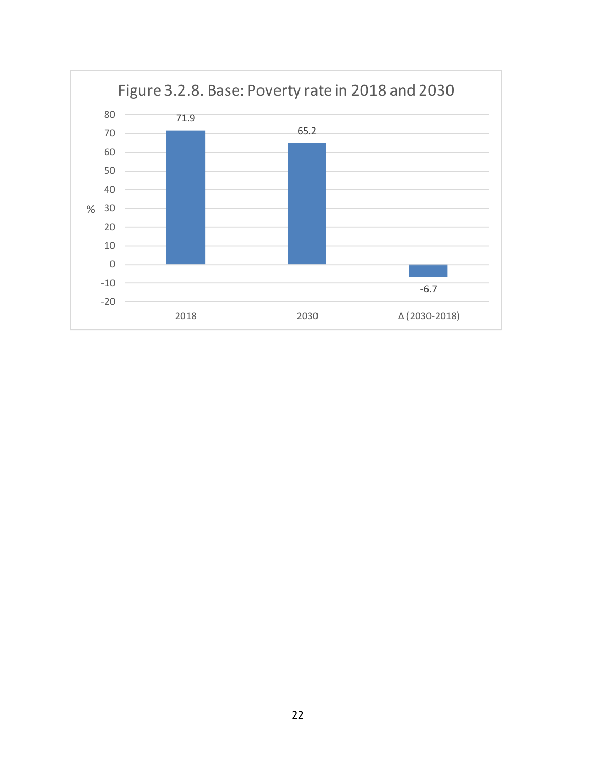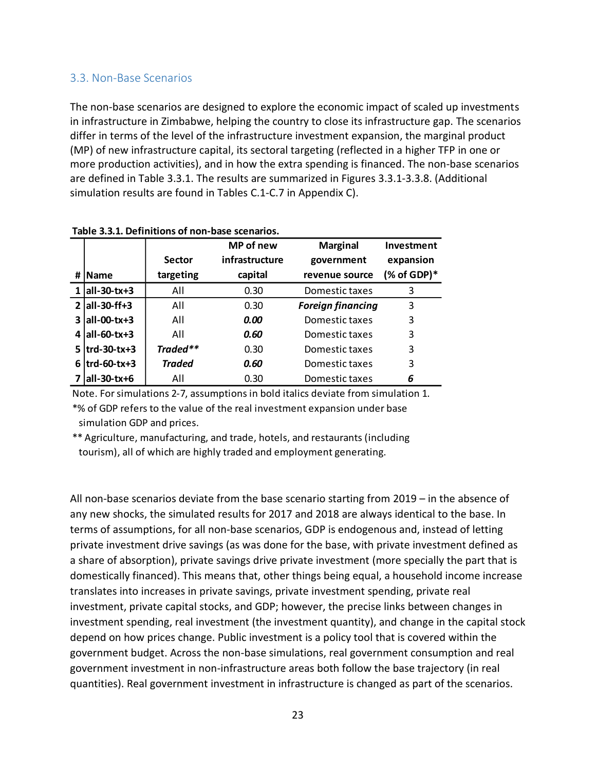#### 3.3. Non-Base Scenarios

The non-base scenarios are designed to explore the economic impact of scaled up investments in infrastructure in Zimbabwe, helping the country to close its infrastructure gap. The scenarios differ in terms of the level of the infrastructure investment expansion, the marginal product (MP) of new infrastructure capital, its sectoral targeting (reflected in a higher TFP in one or more production activities), and in how the extra spending is financed. The non-base scenarios are defined in Table 3.3.1. The results are summarized in Figures 3.3.1-3.3.8. (Additional simulation results are found in Tables C.1-C.7 in Appendix C).

|   |                   |               | <b>MP</b> of new | <b>Marginal</b>          | Investment          |
|---|-------------------|---------------|------------------|--------------------------|---------------------|
|   |                   | <b>Sector</b> | infrastructure   | government               | expansion           |
| # | <b>Name</b>       | targeting     | capital          | revenue source           | $(%$ (% of GDP) $*$ |
|   | $ all-30-tx+3 $   | All           | 0.30             | Domestic taxes           | 3                   |
|   | $2$ all-30-ff+3   | All           | 0.30             | <b>Foreign financing</b> | 3                   |
|   | $3  all-00-tx+3$  | All           | 0.00             | Domestic taxes           | 3                   |
|   | $4$   all-60-tx+3 | All           | 0.60             | Domestic taxes           | 3                   |
|   | $5$  trd-30-tx+3  | Traded**      | 0.30             | Domestic taxes           | 3                   |
|   | $6$ trd-60-tx+3   | <b>Traded</b> | 0.60             | Domestic taxes           | 3                   |
|   | $ all-30-tx+6 $   | All           | 0.30             | Domestic taxes           | 6                   |

**Table 3.3.1. Definitions of non-base scenarios.**

Note. For simulations 2-7, assumptions in bold italics deviate from simulation 1. \*% of GDP refers to the value of the real investment expansion under base simulation GDP and prices.

\*\* Agriculture, manufacturing, and trade, hotels, and restaurants (including tourism), all of which are highly traded and employment generating.

All non-base scenarios deviate from the base scenario starting from 2019 – in the absence of any new shocks, the simulated results for 2017 and 2018 are always identical to the base. In terms of assumptions, for all non-base scenarios, GDP is endogenous and, instead of letting private investment drive savings (as was done for the base, with private investment defined as a share of absorption), private savings drive private investment (more specially the part that is domestically financed). This means that, other things being equal, a household income increase translates into increases in private savings, private investment spending, private real investment, private capital stocks, and GDP; however, the precise links between changes in investment spending, real investment (the investment quantity), and change in the capital stock depend on how prices change. Public investment is a policy tool that is covered within the government budget. Across the non-base simulations, real government consumption and real government investment in non-infrastructure areas both follow the base trajectory (in real quantities). Real government investment in infrastructure is changed as part of the scenarios.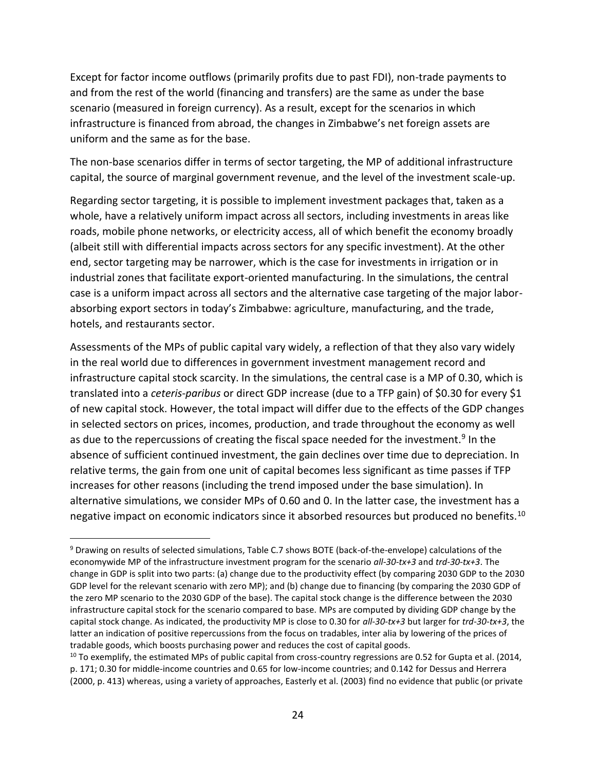Except for factor income outflows (primarily profits due to past FDI), non-trade payments to and from the rest of the world (financing and transfers) are the same as under the base scenario (measured in foreign currency). As a result, except for the scenarios in which infrastructure is financed from abroad, the changes in Zimbabwe's net foreign assets are uniform and the same as for the base.

The non-base scenarios differ in terms of sector targeting, the MP of additional infrastructure capital, the source of marginal government revenue, and the level of the investment scale-up.

Regarding sector targeting, it is possible to implement investment packages that, taken as a whole, have a relatively uniform impact across all sectors, including investments in areas like roads, mobile phone networks, or electricity access, all of which benefit the economy broadly (albeit still with differential impacts across sectors for any specific investment). At the other end, sector targeting may be narrower, which is the case for investments in irrigation or in industrial zones that facilitate export-oriented manufacturing. In the simulations, the central case is a uniform impact across all sectors and the alternative case targeting of the major laborabsorbing export sectors in today's Zimbabwe: agriculture, manufacturing, and the trade, hotels, and restaurants sector.

Assessments of the MPs of public capital vary widely, a reflection of that they also vary widely in the real world due to differences in government investment management record and infrastructure capital stock scarcity. In the simulations, the central case is a MP of 0.30, which is translated into a *ceteris-paribus* or direct GDP increase (due to a TFP gain) of \$0.30 for every \$1 of new capital stock. However, the total impact will differ due to the effects of the GDP changes in selected sectors on prices, incomes, production, and trade throughout the economy as well as due to the repercussions of creating the fiscal space needed for the investment.<sup>[9](#page-25-0)</sup> In the absence of sufficient continued investment, the gain declines over time due to depreciation. In relative terms, the gain from one unit of capital becomes less significant as time passes if TFP increases for other reasons (including the trend imposed under the base simulation). In alternative simulations, we consider MPs of 0.60 and 0. In the latter case, the investment has a negative impact on economic indicators since it absorbed resources but produced no benefits.<sup>[10](#page-25-1)</sup>

<span id="page-25-0"></span><sup>9</sup> Drawing on results of selected simulations, Table C.7 shows BOTE (back-of-the-envelope) calculations of the economywide MP of the infrastructure investment program for the scenario *all-30-tx+3* and *trd-30-tx+3*. The change in GDP is split into two parts: (a) change due to the productivity effect (by comparing 2030 GDP to the 2030 GDP level for the relevant scenario with zero MP); and (b) change due to financing (by comparing the 2030 GDP of the zero MP scenario to the 2030 GDP of the base). The capital stock change is the difference between the 2030 infrastructure capital stock for the scenario compared to base. MPs are computed by dividing GDP change by the capital stock change. As indicated, the productivity MP is close to 0.30 for *all-30-tx+3* but larger for *trd-30-tx+3*, the latter an indication of positive repercussions from the focus on tradables, inter alia by lowering of the prices of tradable goods, which boosts purchasing power and reduces the cost of capital goods.

<span id="page-25-1"></span> $10$  To exemplify, the estimated MPs of public capital from cross-country regressions are 0.52 for Gupta et al. (2014, p. 171; 0.30 for middle-income countries and 0.65 for low-income countries; and 0.142 for Dessus and Herrera (2000, p. 413) whereas, using a variety of approaches, Easterly et al. (2003) find no evidence that public (or private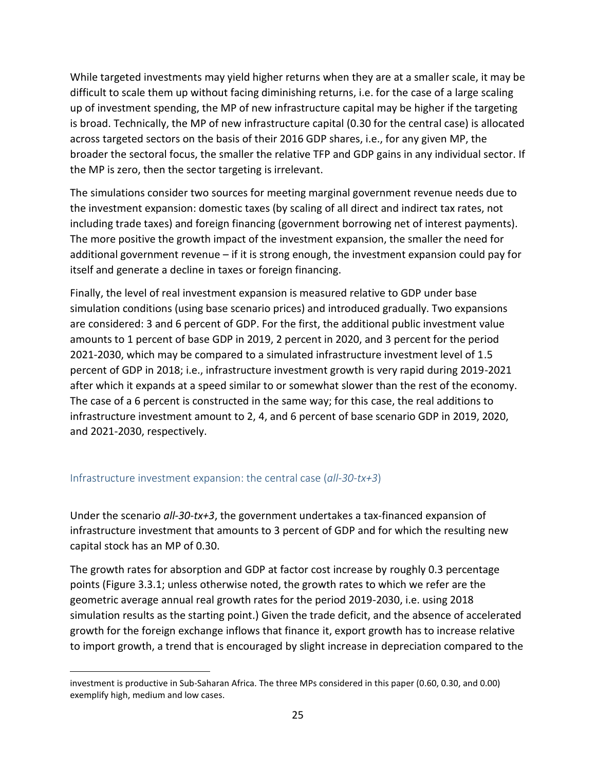While targeted investments may yield higher returns when they are at a smaller scale, it may be difficult to scale them up without facing diminishing returns, i.e. for the case of a large scaling up of investment spending, the MP of new infrastructure capital may be higher if the targeting is broad. Technically, the MP of new infrastructure capital (0.30 for the central case) is allocated across targeted sectors on the basis of their 2016 GDP shares, i.e., for any given MP, the broader the sectoral focus, the smaller the relative TFP and GDP gains in any individual sector. If the MP is zero, then the sector targeting is irrelevant.

The simulations consider two sources for meeting marginal government revenue needs due to the investment expansion: domestic taxes (by scaling of all direct and indirect tax rates, not including trade taxes) and foreign financing (government borrowing net of interest payments). The more positive the growth impact of the investment expansion, the smaller the need for additional government revenue – if it is strong enough, the investment expansion could pay for itself and generate a decline in taxes or foreign financing.

Finally, the level of real investment expansion is measured relative to GDP under base simulation conditions (using base scenario prices) and introduced gradually. Two expansions are considered: 3 and 6 percent of GDP. For the first, the additional public investment value amounts to 1 percent of base GDP in 2019, 2 percent in 2020, and 3 percent for the period 2021-2030, which may be compared to a simulated infrastructure investment level of 1.5 percent of GDP in 2018; i.e., infrastructure investment growth is very rapid during 2019-2021 after which it expands at a speed similar to or somewhat slower than the rest of the economy. The case of a 6 percent is constructed in the same way; for this case, the real additions to infrastructure investment amount to 2, 4, and 6 percent of base scenario GDP in 2019, 2020, and 2021-2030, respectively.

#### Infrastructure investment expansion: the central case (*all-30-tx+3*)

Under the scenario *all-30-tx+3*, the government undertakes a tax-financed expansion of infrastructure investment that amounts to 3 percent of GDP and for which the resulting new capital stock has an MP of 0.30.

The growth rates for absorption and GDP at factor cost increase by roughly 0.3 percentage points (Figure 3.3.1; unless otherwise noted, the growth rates to which we refer are the geometric average annual real growth rates for the period 2019-2030, i.e. using 2018 simulation results as the starting point.) Given the trade deficit, and the absence of accelerated growth for the foreign exchange inflows that finance it, export growth has to increase relative to import growth, a trend that is encouraged by slight increase in depreciation compared to the

investment is productive in Sub-Saharan Africa. The three MPs considered in this paper (0.60, 0.30, and 0.00) exemplify high, medium and low cases.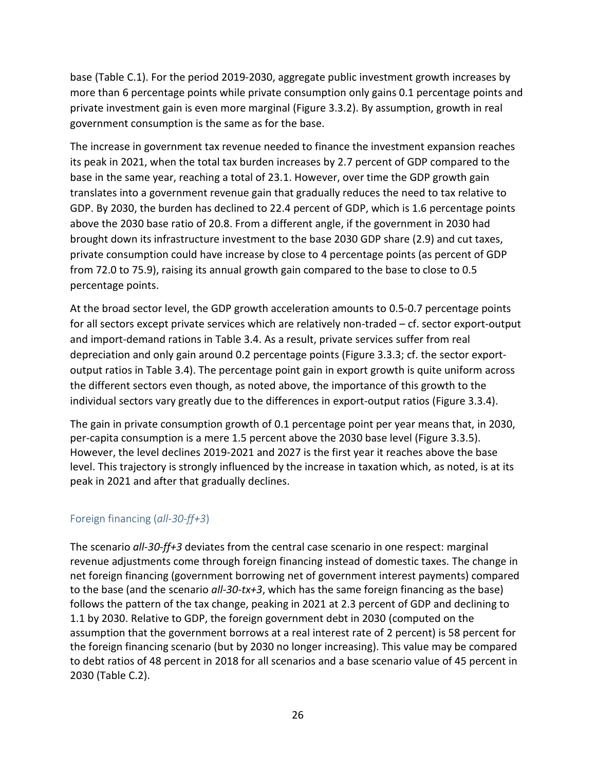base (Table C.1). For the period 2019-2030, aggregate public investment growth increases by more than 6 percentage points while private consumption only gains 0.1 percentage points and private investment gain is even more marginal (Figure 3.3.2). By assumption, growth in real government consumption is the same as for the base.

The increase in government tax revenue needed to finance the investment expansion reaches its peak in 2021, when the total tax burden increases by 2.7 percent of GDP compared to the base in the same year, reaching a total of 23.1. However, over time the GDP growth gain translates into a government revenue gain that gradually reduces the need to tax relative to GDP. By 2030, the burden has declined to 22.4 percent of GDP, which is 1.6 percentage points above the 2030 base ratio of 20.8. From a different angle, if the government in 2030 had brought down its infrastructure investment to the base 2030 GDP share (2.9) and cut taxes, private consumption could have increase by close to 4 percentage points (as percent of GDP from 72.0 to 75.9), raising its annual growth gain compared to the base to close to 0.5 percentage points.

At the broad sector level, the GDP growth acceleration amounts to 0.5-0.7 percentage points for all sectors except private services which are relatively non-traded – cf. sector export-output and import-demand rations in Table 3.4. As a result, private services suffer from real depreciation and only gain around 0.2 percentage points (Figure 3.3.3; cf. the sector exportoutput ratios in Table 3.4). The percentage point gain in export growth is quite uniform across the different sectors even though, as noted above, the importance of this growth to the individual sectors vary greatly due to the differences in export-output ratios (Figure 3.3.4).

The gain in private consumption growth of 0.1 percentage point per year means that, in 2030, per-capita consumption is a mere 1.5 percent above the 2030 base level (Figure 3.3.5). However, the level declines 2019-2021 and 2027 is the first year it reaches above the base level. This trajectory is strongly influenced by the increase in taxation which, as noted, is at its peak in 2021 and after that gradually declines.

## Foreign financing (*all-30-ff+3*)

The scenario *all-30-ff+3* deviates from the central case scenario in one respect: marginal revenue adjustments come through foreign financing instead of domestic taxes. The change in net foreign financing (government borrowing net of government interest payments) compared to the base (and the scenario *all-30-tx+3*, which has the same foreign financing as the base) follows the pattern of the tax change, peaking in 2021 at 2.3 percent of GDP and declining to 1.1 by 2030. Relative to GDP, the foreign government debt in 2030 (computed on the assumption that the government borrows at a real interest rate of 2 percent) is 58 percent for the foreign financing scenario (but by 2030 no longer increasing). This value may be compared to debt ratios of 48 percent in 2018 for all scenarios and a base scenario value of 45 percent in 2030 (Table C.2).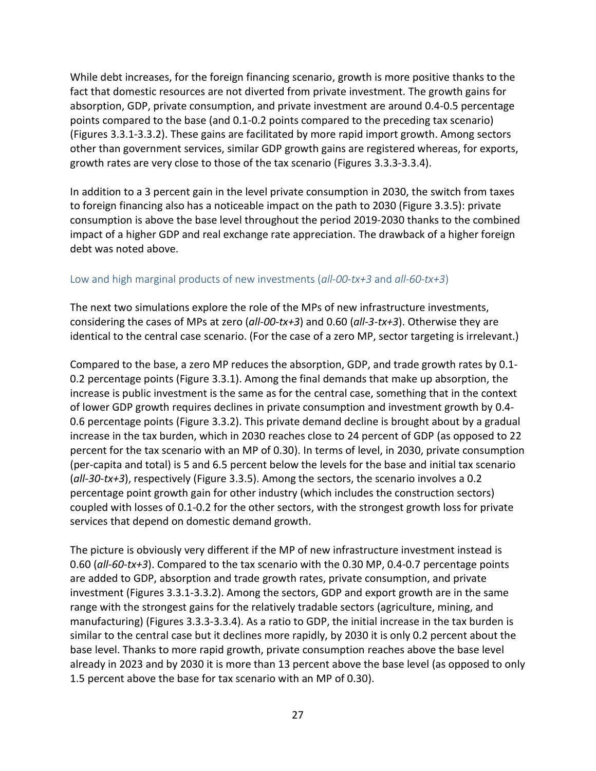While debt increases, for the foreign financing scenario, growth is more positive thanks to the fact that domestic resources are not diverted from private investment. The growth gains for absorption, GDP, private consumption, and private investment are around 0.4-0.5 percentage points compared to the base (and 0.1-0.2 points compared to the preceding tax scenario) (Figures 3.3.1-3.3.2). These gains are facilitated by more rapid import growth. Among sectors other than government services, similar GDP growth gains are registered whereas, for exports, growth rates are very close to those of the tax scenario (Figures 3.3.3-3.3.4).

In addition to a 3 percent gain in the level private consumption in 2030, the switch from taxes to foreign financing also has a noticeable impact on the path to 2030 (Figure 3.3.5): private consumption is above the base level throughout the period 2019-2030 thanks to the combined impact of a higher GDP and real exchange rate appreciation. The drawback of a higher foreign debt was noted above.

#### Low and high marginal products of new investments (*all-00-tx+3* and *all-60-tx+3*)

The next two simulations explore the role of the MPs of new infrastructure investments, considering the cases of MPs at zero (*all-00-tx+3*) and 0.60 (*all-3-tx+3*). Otherwise they are identical to the central case scenario. (For the case of a zero MP, sector targeting is irrelevant.)

Compared to the base, a zero MP reduces the absorption, GDP, and trade growth rates by 0.1- 0.2 percentage points (Figure 3.3.1). Among the final demands that make up absorption, the increase is public investment is the same as for the central case, something that in the context of lower GDP growth requires declines in private consumption and investment growth by 0.4- 0.6 percentage points (Figure 3.3.2). This private demand decline is brought about by a gradual increase in the tax burden, which in 2030 reaches close to 24 percent of GDP (as opposed to 22 percent for the tax scenario with an MP of 0.30). In terms of level, in 2030, private consumption (per-capita and total) is 5 and 6.5 percent below the levels for the base and initial tax scenario (*all-30-tx+3*), respectively (Figure 3.3.5). Among the sectors, the scenario involves a 0.2 percentage point growth gain for other industry (which includes the construction sectors) coupled with losses of 0.1-0.2 for the other sectors, with the strongest growth loss for private services that depend on domestic demand growth.

The picture is obviously very different if the MP of new infrastructure investment instead is 0.60 (*all-60-tx+3*). Compared to the tax scenario with the 0.30 MP, 0.4-0.7 percentage points are added to GDP, absorption and trade growth rates, private consumption, and private investment (Figures 3.3.1-3.3.2). Among the sectors, GDP and export growth are in the same range with the strongest gains for the relatively tradable sectors (agriculture, mining, and manufacturing) (Figures 3.3.3-3.3.4). As a ratio to GDP, the initial increase in the tax burden is similar to the central case but it declines more rapidly, by 2030 it is only 0.2 percent about the base level. Thanks to more rapid growth, private consumption reaches above the base level already in 2023 and by 2030 it is more than 13 percent above the base level (as opposed to only 1.5 percent above the base for tax scenario with an MP of 0.30).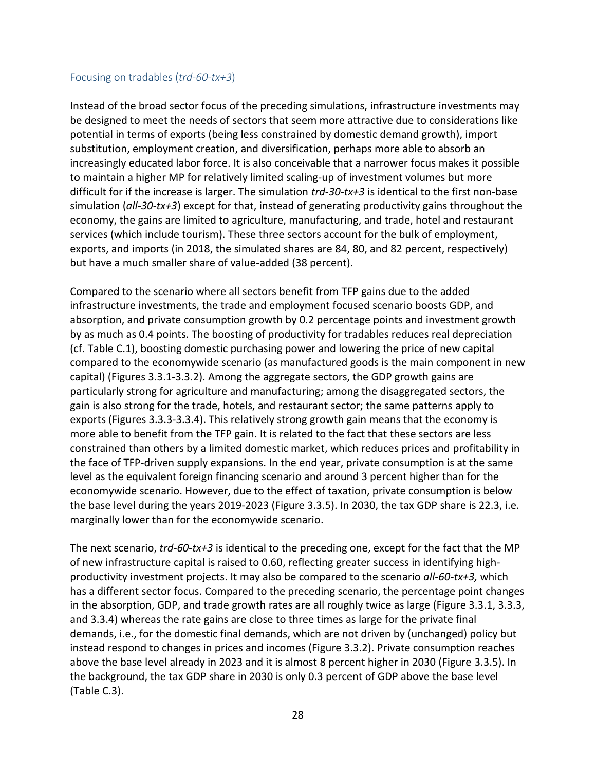#### Focusing on tradables (*trd-60-tx+3*)

Instead of the broad sector focus of the preceding simulations, infrastructure investments may be designed to meet the needs of sectors that seem more attractive due to considerations like potential in terms of exports (being less constrained by domestic demand growth), import substitution, employment creation, and diversification, perhaps more able to absorb an increasingly educated labor force. It is also conceivable that a narrower focus makes it possible to maintain a higher MP for relatively limited scaling-up of investment volumes but more difficult for if the increase is larger. The simulation *trd-30-tx+3* is identical to the first non-base simulation (*all-30-tx+3*) except for that, instead of generating productivity gains throughout the economy, the gains are limited to agriculture, manufacturing, and trade, hotel and restaurant services (which include tourism). These three sectors account for the bulk of employment, exports, and imports (in 2018, the simulated shares are 84, 80, and 82 percent, respectively) but have a much smaller share of value-added (38 percent).

Compared to the scenario where all sectors benefit from TFP gains due to the added infrastructure investments, the trade and employment focused scenario boosts GDP, and absorption, and private consumption growth by 0.2 percentage points and investment growth by as much as 0.4 points. The boosting of productivity for tradables reduces real depreciation (cf. Table C.1), boosting domestic purchasing power and lowering the price of new capital compared to the economywide scenario (as manufactured goods is the main component in new capital) (Figures 3.3.1-3.3.2). Among the aggregate sectors, the GDP growth gains are particularly strong for agriculture and manufacturing; among the disaggregated sectors, the gain is also strong for the trade, hotels, and restaurant sector; the same patterns apply to exports (Figures 3.3.3-3.3.4). This relatively strong growth gain means that the economy is more able to benefit from the TFP gain. It is related to the fact that these sectors are less constrained than others by a limited domestic market, which reduces prices and profitability in the face of TFP-driven supply expansions. In the end year, private consumption is at the same level as the equivalent foreign financing scenario and around 3 percent higher than for the economywide scenario. However, due to the effect of taxation, private consumption is below the base level during the years 2019-2023 (Figure 3.3.5). In 2030, the tax GDP share is 22.3, i.e. marginally lower than for the economywide scenario.

The next scenario, *trd-60-tx+3* is identical to the preceding one, except for the fact that the MP of new infrastructure capital is raised to 0.60, reflecting greater success in identifying highproductivity investment projects. It may also be compared to the scenario *all-60-tx+3,* which has a different sector focus. Compared to the preceding scenario, the percentage point changes in the absorption, GDP, and trade growth rates are all roughly twice as large (Figure 3.3.1, 3.3.3, and 3.3.4) whereas the rate gains are close to three times as large for the private final demands, i.e., for the domestic final demands, which are not driven by (unchanged) policy but instead respond to changes in prices and incomes (Figure 3.3.2). Private consumption reaches above the base level already in 2023 and it is almost 8 percent higher in 2030 (Figure 3.3.5). In the background, the tax GDP share in 2030 is only 0.3 percent of GDP above the base level (Table C.3).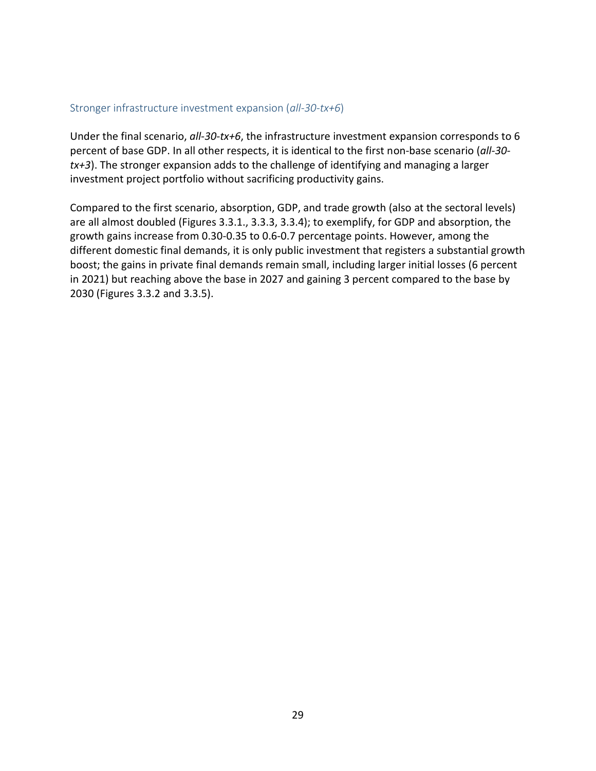#### Stronger infrastructure investment expansion (*all-30-tx+6*)

Under the final scenario, *all-30-tx+6*, the infrastructure investment expansion corresponds to 6 percent of base GDP. In all other respects, it is identical to the first non-base scenario (*all-30 tx+3*). The stronger expansion adds to the challenge of identifying and managing a larger investment project portfolio without sacrificing productivity gains.

Compared to the first scenario, absorption, GDP, and trade growth (also at the sectoral levels) are all almost doubled (Figures 3.3.1., 3.3.3, 3.3.4); to exemplify, for GDP and absorption, the growth gains increase from 0.30-0.35 to 0.6-0.7 percentage points. However, among the different domestic final demands, it is only public investment that registers a substantial growth boost; the gains in private final demands remain small, including larger initial losses (6 percent in 2021) but reaching above the base in 2027 and gaining 3 percent compared to the base by 2030 (Figures 3.3.2 and 3.3.5).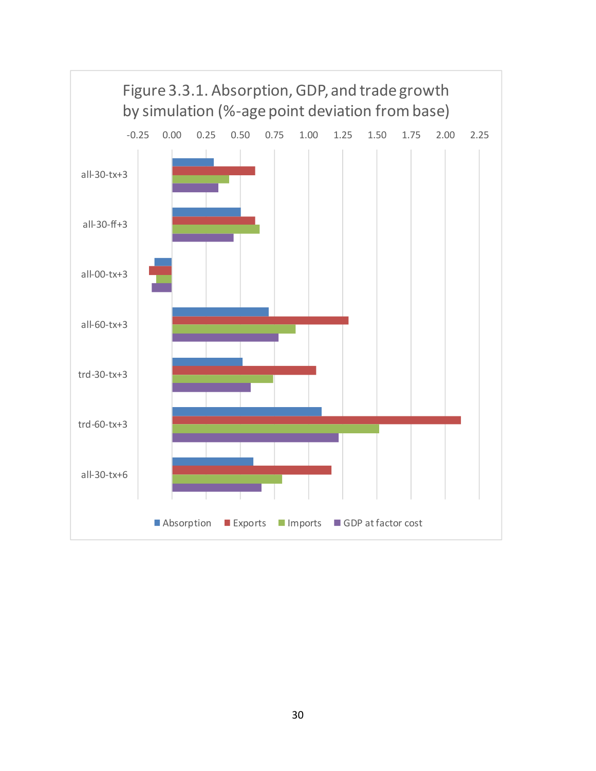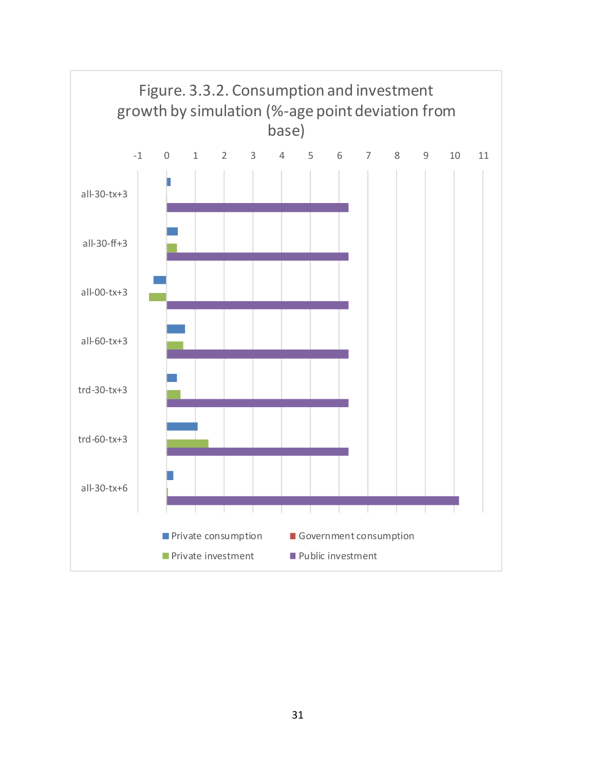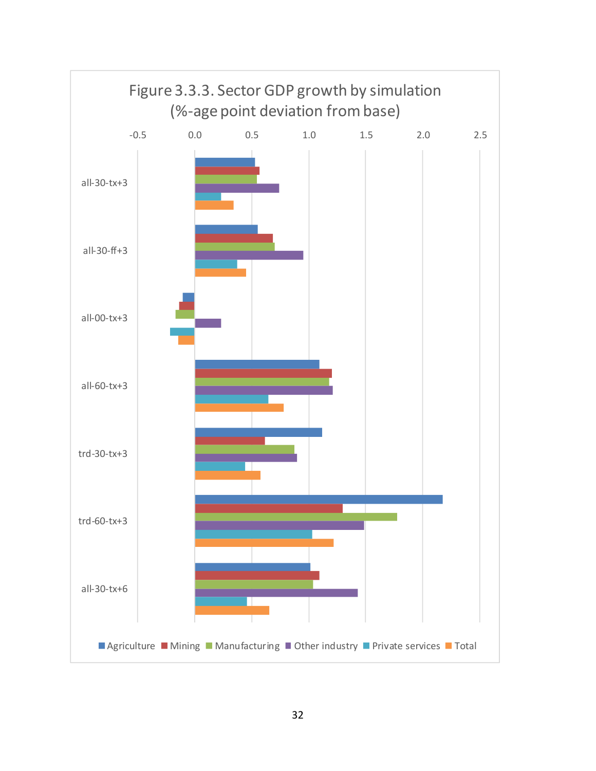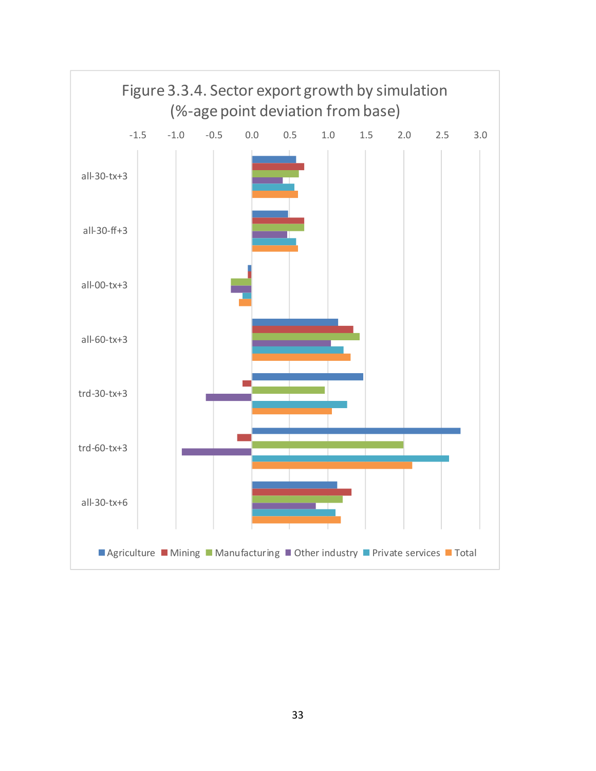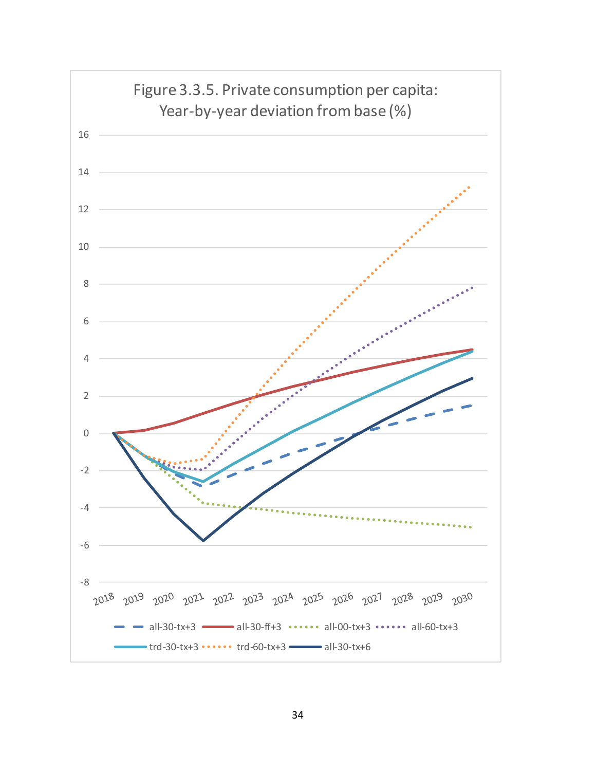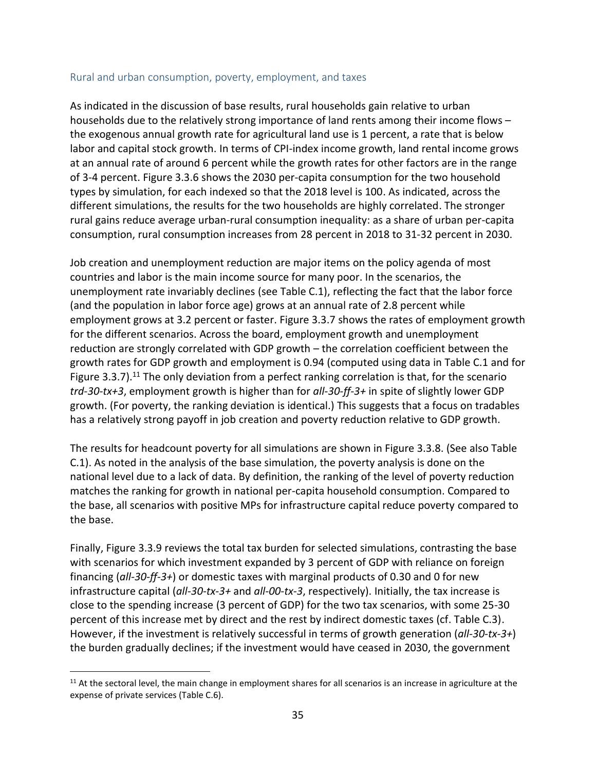#### Rural and urban consumption, poverty, employment, and taxes

As indicated in the discussion of base results, rural households gain relative to urban households due to the relatively strong importance of land rents among their income flows – the exogenous annual growth rate for agricultural land use is 1 percent, a rate that is below labor and capital stock growth. In terms of CPI-index income growth, land rental income grows at an annual rate of around 6 percent while the growth rates for other factors are in the range of 3-4 percent. Figure 3.3.6 shows the 2030 per-capita consumption for the two household types by simulation, for each indexed so that the 2018 level is 100. As indicated, across the different simulations, the results for the two households are highly correlated. The stronger rural gains reduce average urban-rural consumption inequality: as a share of urban per-capita consumption, rural consumption increases from 28 percent in 2018 to 31-32 percent in 2030.

Job creation and unemployment reduction are major items on the policy agenda of most countries and labor is the main income source for many poor. In the scenarios, the unemployment rate invariably declines (see Table C.1), reflecting the fact that the labor force (and the population in labor force age) grows at an annual rate of 2.8 percent while employment grows at 3.2 percent or faster. Figure 3.3.7 shows the rates of employment growth for the different scenarios. Across the board, employment growth and unemployment reduction are strongly correlated with GDP growth – the correlation coefficient between the growth rates for GDP growth and employment is 0.94 (computed using data in Table C.1 and for Figure 3.3.7).<sup>[11](#page-36-0)</sup> The only deviation from a perfect ranking correlation is that, for the scenario *trd-30-tx+3*, employment growth is higher than for *all-30-ff-3+* in spite of slightly lower GDP growth. (For poverty, the ranking deviation is identical.) This suggests that a focus on tradables has a relatively strong payoff in job creation and poverty reduction relative to GDP growth.

The results for headcount poverty for all simulations are shown in Figure 3.3.8. (See also Table C.1). As noted in the analysis of the base simulation, the poverty analysis is done on the national level due to a lack of data. By definition, the ranking of the level of poverty reduction matches the ranking for growth in national per-capita household consumption. Compared to the base, all scenarios with positive MPs for infrastructure capital reduce poverty compared to the base.

Finally, Figure 3.3.9 reviews the total tax burden for selected simulations, contrasting the base with scenarios for which investment expanded by 3 percent of GDP with reliance on foreign financing (*all-30-ff-3+*) or domestic taxes with marginal products of 0.30 and 0 for new infrastructure capital (*all-30-tx-3+* and *all-00-tx-3*, respectively). Initially, the tax increase is close to the spending increase (3 percent of GDP) for the two tax scenarios, with some 25-30 percent of this increase met by direct and the rest by indirect domestic taxes (cf. Table C.3). However, if the investment is relatively successful in terms of growth generation (*all-30-tx-3+*) the burden gradually declines; if the investment would have ceased in 2030, the government

<span id="page-36-0"></span> $11$  At the sectoral level, the main change in employment shares for all scenarios is an increase in agriculture at the expense of private services (Table C.6).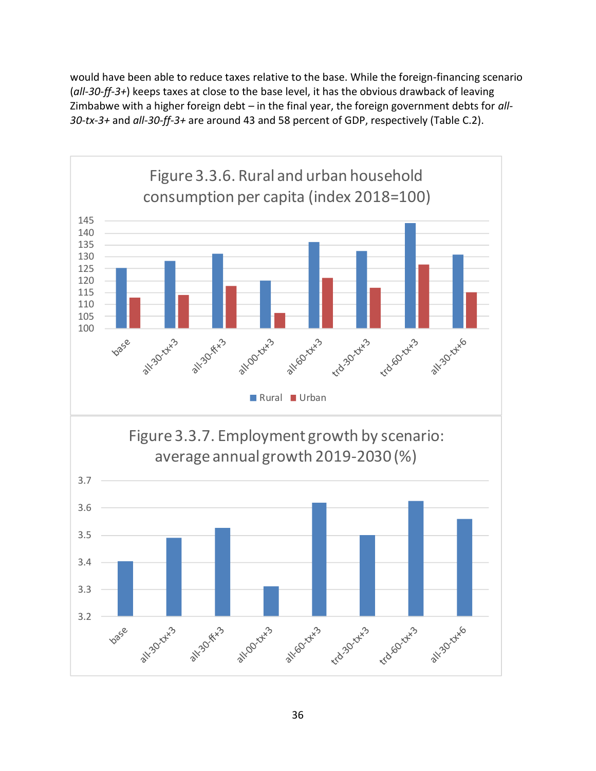would have been able to reduce taxes relative to the base. While the foreign-financing scenario (*all-30-ff-3+*) keeps taxes at close to the base level, it has the obvious drawback of leaving Zimbabwe with a higher foreign debt – in the final year, the foreign government debts for *all-30-tx-3+* and *all-30-ff-3+* are around 43 and 58 percent of GDP, respectively (Table C.2).

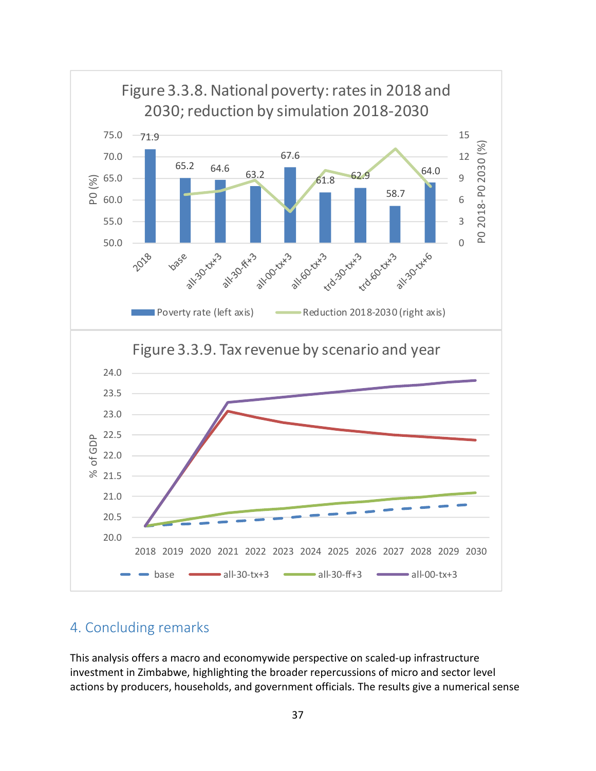

# 4. Concluding remarks

This analysis offers a macro and economywide perspective on scaled-up infrastructure investment in Zimbabwe, highlighting the broader repercussions of micro and sector level actions by producers, households, and government officials. The results give a numerical sense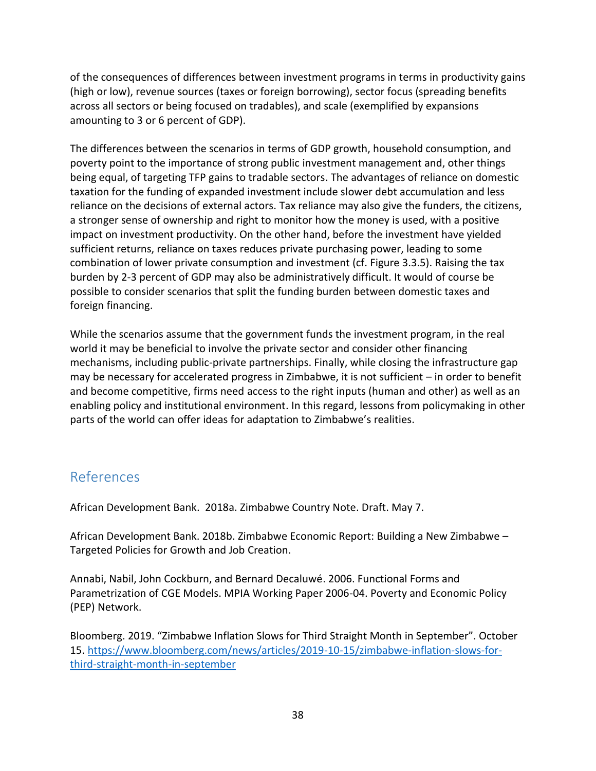of the consequences of differences between investment programs in terms in productivity gains (high or low), revenue sources (taxes or foreign borrowing), sector focus (spreading benefits across all sectors or being focused on tradables), and scale (exemplified by expansions amounting to 3 or 6 percent of GDP).

The differences between the scenarios in terms of GDP growth, household consumption, and poverty point to the importance of strong public investment management and, other things being equal, of targeting TFP gains to tradable sectors. The advantages of reliance on domestic taxation for the funding of expanded investment include slower debt accumulation and less reliance on the decisions of external actors. Tax reliance may also give the funders, the citizens, a stronger sense of ownership and right to monitor how the money is used, with a positive impact on investment productivity. On the other hand, before the investment have yielded sufficient returns, reliance on taxes reduces private purchasing power, leading to some combination of lower private consumption and investment (cf. Figure 3.3.5). Raising the tax burden by 2-3 percent of GDP may also be administratively difficult. It would of course be possible to consider scenarios that split the funding burden between domestic taxes and foreign financing.

While the scenarios assume that the government funds the investment program, in the real world it may be beneficial to involve the private sector and consider other financing mechanisms, including public-private partnerships. Finally, while closing the infrastructure gap may be necessary for accelerated progress in Zimbabwe, it is not sufficient – in order to benefit and become competitive, firms need access to the right inputs (human and other) as well as an enabling policy and institutional environment. In this regard, lessons from policymaking in other parts of the world can offer ideas for adaptation to Zimbabwe's realities.

# References

African Development Bank. 2018a. Zimbabwe Country Note. Draft. May 7.

African Development Bank. 2018b. Zimbabwe Economic Report: Building a New Zimbabwe – Targeted Policies for Growth and Job Creation.

Annabi, Nabil, John Cockburn, and Bernard Decaluwé. 2006. Functional Forms and Parametrization of CGE Models. MPIA Working Paper 2006-04. Poverty and Economic Policy (PEP) Network.

Bloomberg. 2019. "Zimbabwe Inflation Slows for Third Straight Month in September". October 15. [https://www.bloomberg.com/news/articles/2019-10-15/zimbabwe-inflation-slows-for](https://www.bloomberg.com/news/articles/2019-10-15/zimbabwe-inflation-slows-for-third-straight-month-in-september)[third-straight-month-in-september](https://www.bloomberg.com/news/articles/2019-10-15/zimbabwe-inflation-slows-for-third-straight-month-in-september)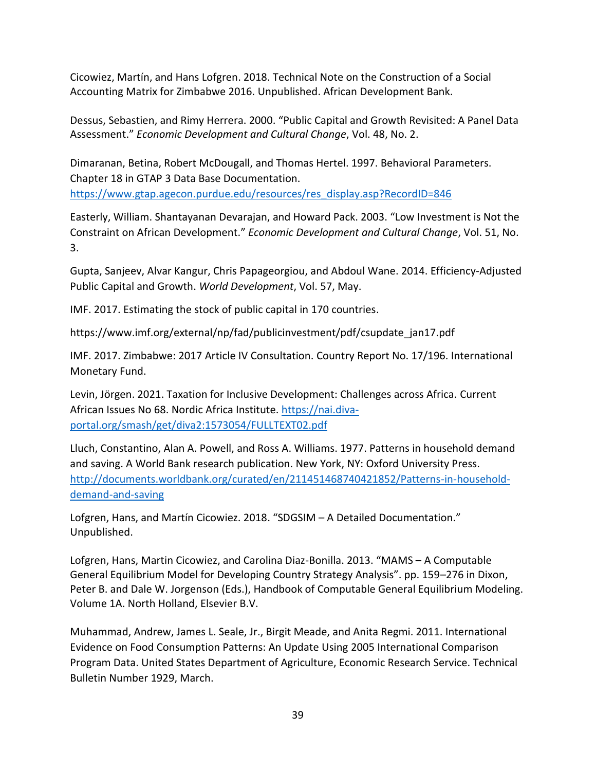Cicowiez, Martín, and Hans Lofgren. 2018. Technical Note on the Construction of a Social Accounting Matrix for Zimbabwe 2016. Unpublished. African Development Bank.

Dessus, Sebastien, and Rimy Herrera. 2000. "Public Capital and Growth Revisited: A Panel Data Assessment." *Economic Development and Cultural Change*, Vol. 48, No. 2.

Dimaranan, Betina, Robert McDougall, and Thomas Hertel. 1997. Behavioral Parameters. Chapter 18 in GTAP 3 Data Base Documentation.

[https://www.gtap.agecon.purdue.edu/resources/res\\_display.asp?RecordID=846](https://www.gtap.agecon.purdue.edu/resources/res_display.asp?RecordID=846)

Easterly, William. Shantayanan Devarajan, and Howard Pack. 2003. "Low Investment is Not the Constraint on African Development." *Economic Development and Cultural Change*, Vol. 51, No. 3.

Gupta, Sanjeev, Alvar Kangur, Chris Papageorgiou, and Abdoul Wane. 2014. Efficiency-Adjusted Public Capital and Growth. *World Development*, Vol. 57, May.

IMF. 2017. Estimating the stock of public capital in 170 countries.

https://www.imf.org/external/np/fad/publicinvestment/pdf/csupdate\_jan17.pdf

IMF. 2017. Zimbabwe: 2017 Article IV Consultation. Country Report No. 17/196. International Monetary Fund.

Levin, Jörgen. 2021. Taxation for Inclusive Development: Challenges across Africa. Current African Issues No 68. Nordic Africa Institute. [https://nai.diva](https://nai.diva-portal.org/smash/get/diva2:1573054/FULLTEXT02.pdf)[portal.org/smash/get/diva2:1573054/FULLTEXT02.pdf](https://nai.diva-portal.org/smash/get/diva2:1573054/FULLTEXT02.pdf)

Lluch, Constantino, Alan A. Powell, and Ross A. Williams. 1977. Patterns in household demand and saving. A World Bank research publication. New York, NY: Oxford University Press. [http://documents.worldbank.org/curated/en/211451468740421852/Patterns-in-household](http://documents.worldbank.org/curated/en/211451468740421852/Patterns-in-household-demand-and-saving)[demand-and-saving](http://documents.worldbank.org/curated/en/211451468740421852/Patterns-in-household-demand-and-saving)

Lofgren, Hans, and Martín Cicowiez. 2018. "SDGSIM – A Detailed Documentation." Unpublished.

Lofgren, Hans, Martin Cicowiez, and Carolina Diaz-Bonilla. 2013. "MAMS – A Computable General Equilibrium Model for Developing Country Strategy Analysis". pp. 159–276 in Dixon, Peter B. and Dale W. Jorgenson (Eds.), Handbook of Computable General Equilibrium Modeling. Volume 1A. North Holland, Elsevier B.V.

Muhammad, Andrew, James L. Seale, Jr., Birgit Meade, and Anita Regmi. 2011. International Evidence on Food Consumption Patterns: An Update Using 2005 International Comparison Program Data. United States Department of Agriculture, Economic Research Service. Technical Bulletin Number 1929, March.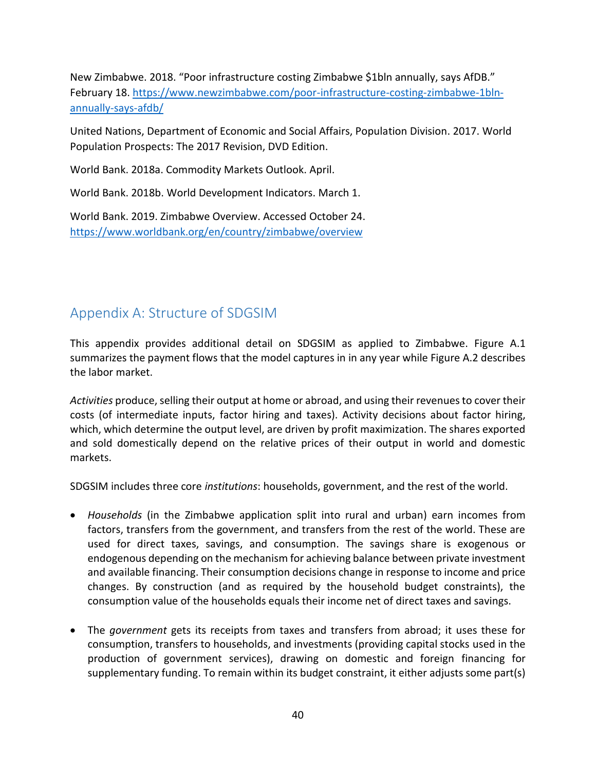New Zimbabwe. 2018. "Poor infrastructure costing Zimbabwe \$1bln annually, says AfDB." February 18. [https://www.newzimbabwe.com/poor-infrastructure-costing-zimbabwe-1bln](https://www.newzimbabwe.com/poor-infrastructure-costing-zimbabwe-1bln-annually-says-afdb/)[annually-says-afdb/](https://www.newzimbabwe.com/poor-infrastructure-costing-zimbabwe-1bln-annually-says-afdb/)

United Nations, Department of Economic and Social Affairs, Population Division. 2017. World Population Prospects: The 2017 Revision, DVD Edition.

World Bank. 2018a. Commodity Markets Outlook. April.

World Bank. 2018b. World Development Indicators. March 1.

World Bank. 2019. Zimbabwe Overview. Accessed October 24. <https://www.worldbank.org/en/country/zimbabwe/overview>

# Appendix A: Structure of SDGSIM

This appendix provides additional detail on SDGSIM as applied to Zimbabwe. Figure A.1 summarizes the payment flows that the model captures in in any year while Figure A.2 describes the labor market.

*Activities* produce, selling their output at home or abroad, and using their revenues to cover their costs (of intermediate inputs, factor hiring and taxes). Activity decisions about factor hiring, which, which determine the output level, are driven by profit maximization. The shares exported and sold domestically depend on the relative prices of their output in world and domestic markets.

SDGSIM includes three core *institutions*: households, government, and the rest of the world.

- *Households* (in the Zimbabwe application split into rural and urban) earn incomes from factors, transfers from the government, and transfers from the rest of the world. These are used for direct taxes, savings, and consumption. The savings share is exogenous or endogenous depending on the mechanism for achieving balance between private investment and available financing. Their consumption decisions change in response to income and price changes. By construction (and as required by the household budget constraints), the consumption value of the households equals their income net of direct taxes and savings.
- The *government* gets its receipts from taxes and transfers from abroad; it uses these for consumption, transfers to households, and investments (providing capital stocks used in the production of government services), drawing on domestic and foreign financing for supplementary funding. To remain within its budget constraint, it either adjusts some part(s)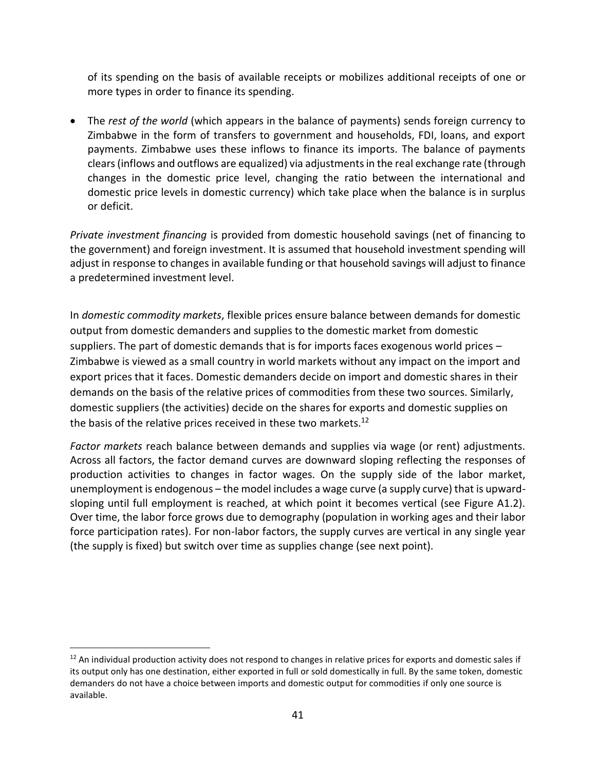of its spending on the basis of available receipts or mobilizes additional receipts of one or more types in order to finance its spending.

• The *rest of the world* (which appears in the balance of payments) sends foreign currency to Zimbabwe in the form of transfers to government and households, FDI, loans, and export payments. Zimbabwe uses these inflows to finance its imports. The balance of payments clears (inflows and outflows are equalized) via adjustments in the real exchange rate (through changes in the domestic price level, changing the ratio between the international and domestic price levels in domestic currency) which take place when the balance is in surplus or deficit.

*Private investment financing* is provided from domestic household savings (net of financing to the government) and foreign investment. It is assumed that household investment spending will adjust in response to changes in available funding or that household savings will adjust to finance a predetermined investment level.

In *domestic commodity markets*, flexible prices ensure balance between demands for domestic output from domestic demanders and supplies to the domestic market from domestic suppliers. The part of domestic demands that is for imports faces exogenous world prices – Zimbabwe is viewed as a small country in world markets without any impact on the import and export prices that it faces. Domestic demanders decide on import and domestic shares in their demands on the basis of the relative prices of commodities from these two sources. Similarly, domestic suppliers (the activities) decide on the shares for exports and domestic supplies on the basis of the relative prices received in these two markets. $^{12}$  $^{12}$  $^{12}$ 

*Factor markets* reach balance between demands and supplies via wage (or rent) adjustments. Across all factors, the factor demand curves are downward sloping reflecting the responses of production activities to changes in factor wages. On the supply side of the labor market, unemployment is endogenous – the model includes a wage curve (a supply curve) that is upwardsloping until full employment is reached, at which point it becomes vertical (see Figure A1.2). Over time, the labor force grows due to demography (population in working ages and their labor force participation rates). For non-labor factors, the supply curves are vertical in any single year (the supply is fixed) but switch over time as supplies change (see next point).

<span id="page-42-0"></span> $12$  An individual production activity does not respond to changes in relative prices for exports and domestic sales if its output only has one destination, either exported in full or sold domestically in full. By the same token, domestic demanders do not have a choice between imports and domestic output for commodities if only one source is available.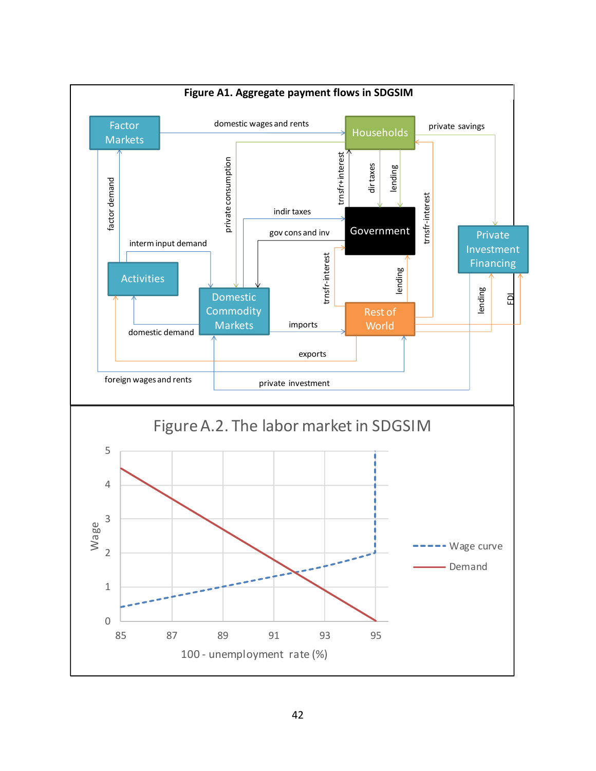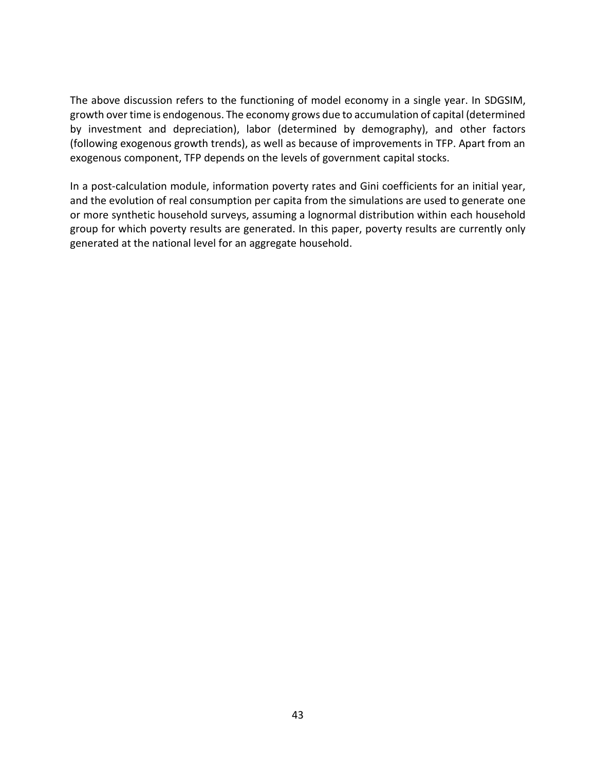The above discussion refers to the functioning of model economy in a single year. In SDGSIM, growth over time is endogenous. The economy grows due to accumulation of capital (determined by investment and depreciation), labor (determined by demography), and other factors (following exogenous growth trends), as well as because of improvements in TFP. Apart from an exogenous component, TFP depends on the levels of government capital stocks.

In a post-calculation module, information poverty rates and Gini coefficients for an initial year, and the evolution of real consumption per capita from the simulations are used to generate one or more synthetic household surveys, assuming a lognormal distribution within each household group for which poverty results are generated. In this paper, poverty results are currently only generated at the national level for an aggregate household.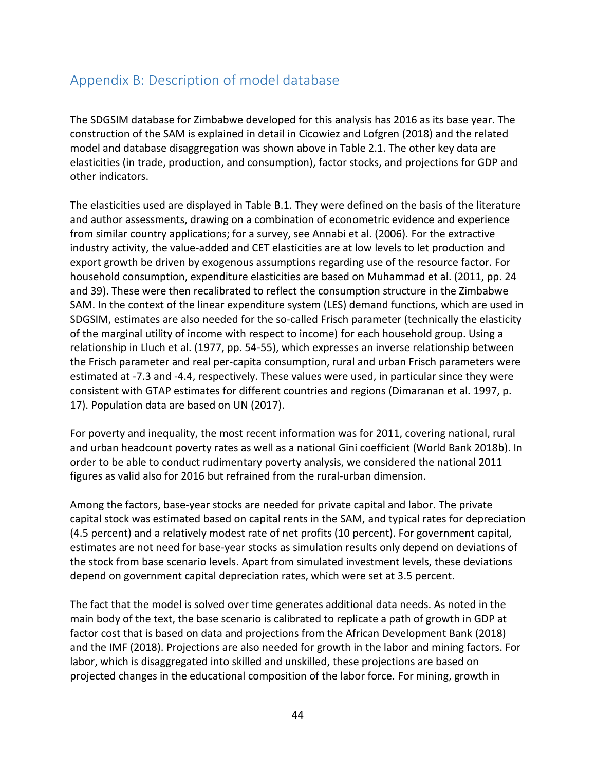# Appendix B: Description of model database

The SDGSIM database for Zimbabwe developed for this analysis has 2016 as its base year. The construction of the SAM is explained in detail in Cicowiez and Lofgren (2018) and the related model and database disaggregation was shown above in Table 2.1. The other key data are elasticities (in trade, production, and consumption), factor stocks, and projections for GDP and other indicators.

The elasticities used are displayed in Table B.1. They were defined on the basis of the literature and author assessments, drawing on a combination of econometric evidence and experience from similar country applications; for a survey, see Annabi et al. (2006). For the extractive industry activity, the value-added and CET elasticities are at low levels to let production and export growth be driven by exogenous assumptions regarding use of the resource factor. For household consumption, expenditure elasticities are based on Muhammad et al. (2011, pp. 24 and 39). These were then recalibrated to reflect the consumption structure in the Zimbabwe SAM. In the context of the linear expenditure system (LES) demand functions, which are used in SDGSIM, estimates are also needed for the so-called Frisch parameter (technically the elasticity of the marginal utility of income with respect to income) for each household group. Using a relationship in Lluch et al. (1977, pp. 54-55), which expresses an inverse relationship between the Frisch parameter and real per-capita consumption, rural and urban Frisch parameters were estimated at -7.3 and -4.4, respectively. These values were used, in particular since they were consistent with GTAP estimates for different countries and regions (Dimaranan et al. 1997, p. 17). Population data are based on UN (2017).

For poverty and inequality, the most recent information was for 2011, covering national, rural and urban headcount poverty rates as well as a national Gini coefficient (World Bank 2018b). In order to be able to conduct rudimentary poverty analysis, we considered the national 2011 figures as valid also for 2016 but refrained from the rural-urban dimension.

Among the factors, base-year stocks are needed for private capital and labor. The private capital stock was estimated based on capital rents in the SAM, and typical rates for depreciation (4.5 percent) and a relatively modest rate of net profits (10 percent). For government capital, estimates are not need for base-year stocks as simulation results only depend on deviations of the stock from base scenario levels. Apart from simulated investment levels, these deviations depend on government capital depreciation rates, which were set at 3.5 percent.

The fact that the model is solved over time generates additional data needs. As noted in the main body of the text, the base scenario is calibrated to replicate a path of growth in GDP at factor cost that is based on data and projections from the African Development Bank (2018) and the IMF (2018). Projections are also needed for growth in the labor and mining factors. For labor, which is disaggregated into skilled and unskilled, these projections are based on projected changes in the educational composition of the labor force. For mining, growth in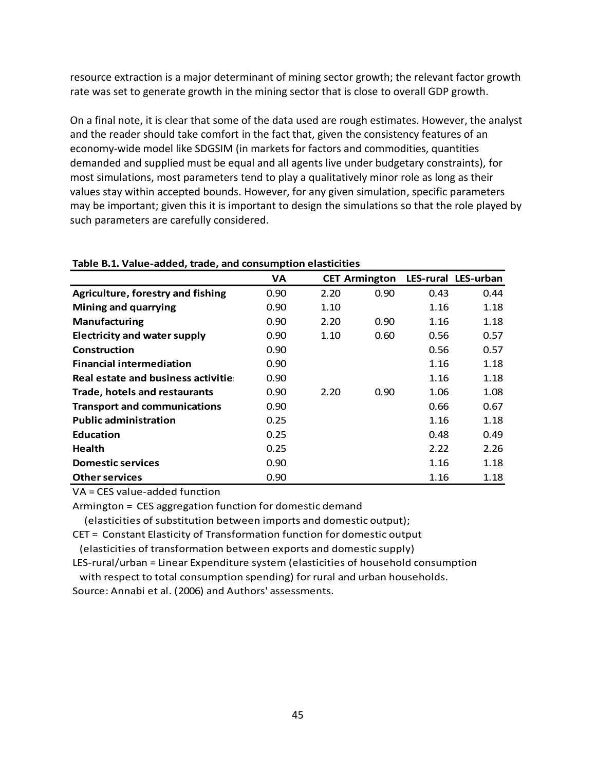resource extraction is a major determinant of mining sector growth; the relevant factor growth rate was set to generate growth in the mining sector that is close to overall GDP growth.

On a final note, it is clear that some of the data used are rough estimates. However, the analyst and the reader should take comfort in the fact that, given the consistency features of an economy-wide model like SDGSIM (in markets for factors and commodities, quantities demanded and supplied must be equal and all agents live under budgetary constraints), for most simulations, most parameters tend to play a qualitatively minor role as long as their values stay within accepted bounds. However, for any given simulation, specific parameters may be important; given this it is important to design the simulations so that the role played by such parameters are carefully considered.

|                                     | <b>VA</b> |      | <b>CET Armington</b> |      | LES-rural LES-urban |
|-------------------------------------|-----------|------|----------------------|------|---------------------|
| Agriculture, forestry and fishing   | 0.90      | 2.20 | 0.90                 | 0.43 | 0.44                |
| <b>Mining and quarrying</b>         | 0.90      | 1.10 |                      | 1.16 | 1.18                |
| <b>Manufacturing</b>                | 0.90      | 2.20 | 0.90                 | 1.16 | 1.18                |
| <b>Electricity and water supply</b> | 0.90      | 1.10 | 0.60                 | 0.56 | 0.57                |
| Construction                        | 0.90      |      |                      | 0.56 | 0.57                |
| <b>Financial intermediation</b>     | 0.90      |      |                      | 1.16 | 1.18                |
| Real estate and business activitie  | 0.90      |      |                      | 1.16 | 1.18                |
| Trade, hotels and restaurants       | 0.90      | 2.20 | 0.90                 | 1.06 | 1.08                |
| <b>Transport and communications</b> | 0.90      |      |                      | 0.66 | 0.67                |
| <b>Public administration</b>        | 0.25      |      |                      | 1.16 | 1.18                |
| <b>Education</b>                    | 0.25      |      |                      | 0.48 | 0.49                |
| <b>Health</b>                       | 0.25      |      |                      | 2.22 | 2.26                |
| <b>Domestic services</b>            | 0.90      |      |                      | 1.16 | 1.18                |
| <b>Other services</b>               | 0.90      |      |                      | 1.16 | 1.18                |

**Table B.1. Value-added, trade, and consumption elasticities**

VA = CES value-added function

Armington = CES aggregation function for domestic demand

(elasticities of substitution between imports and domestic output);

CET = Constant Elasticity of Transformation function for domestic output

(elasticities of transformation between exports and domestic supply)

LES-rural/urban = Linear Expenditure system (elasticities of household consumption with respect to total consumption spending) for rural and urban households.

Source: Annabi et al. (2006) and Authors' assessments.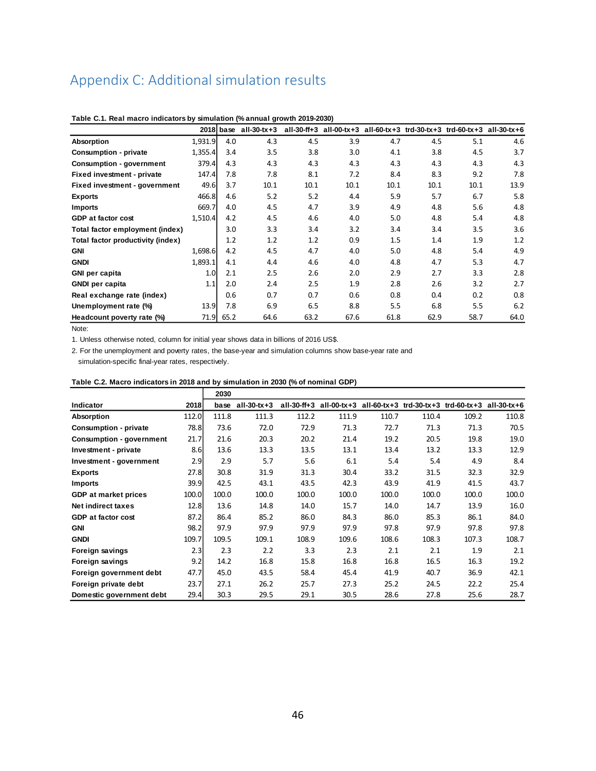# Appendix C: Additional simulation results

|                                   |         | $2018$ base | $all-30-tx+3$ | all-30-ff+3 | $all-00-tx+3$ |      |      | all-60-tx+3 trd-30-tx+3 trd-60-tx+3 | all-30-tx+6 |
|-----------------------------------|---------|-------------|---------------|-------------|---------------|------|------|-------------------------------------|-------------|
| Absorption                        | 1,931.9 | 4.0         | 4.3           | 4.5         | 3.9           | 4.7  | 4.5  | 5.1                                 | 4.6         |
| <b>Consumption - private</b>      | 1,355.4 | 3.4         | 3.5           | 3.8         | 3.0           | 4.1  | 3.8  | 4.5                                 | 3.7         |
| <b>Consumption - government</b>   | 379.4   | 4.3         | 4.3           | 4.3         | 4.3           | 4.3  | 4.3  | 4.3                                 | 4.3         |
| Fixed investment - private        | 147.4   | 7.8         | 7.8           | 8.1         | 7.2           | 8.4  | 8.3  | 9.2                                 | 7.8         |
| Fixed investment - government     | 49.6    | 3.7         | 10.1          | 10.1        | 10.1          | 10.1 | 10.1 | 10.1                                | 13.9        |
| <b>Exports</b>                    | 466.8   | 4.6         | 5.2           | 5.2         | 4.4           | 5.9  | 5.7  | 6.7                                 | 5.8         |
| <b>Imports</b>                    | 669.7   | 4.0         | 4.5           | 4.7         | 3.9           | 4.9  | 4.8  | 5.6                                 | 4.8         |
| <b>GDP</b> at factor cost         | 1,510.4 | 4.2         | 4.5           | 4.6         | 4.0           | 5.0  | 4.8  | 5.4                                 | 4.8         |
| Total factor employment (index)   |         | 3.0         | 3.3           | 3.4         | 3.2           | 3.4  | 3.4  | 3.5                                 | 3.6         |
| Total factor productivity (index) |         | 1.2         | 1.2           | 1.2         | 0.9           | 1.5  | 1.4  | 1.9                                 | 1.2         |
| <b>GNI</b>                        | 1,698.6 | 4.2         | 4.5           | 4.7         | 4.0           | 5.0  | 4.8  | 5.4                                 | 4.9         |
| <b>GNDI</b>                       | 1,893.1 | 4.1         | 4.4           | 4.6         | 4.0           | 4.8  | 4.7  | 5.3                                 | 4.7         |
| GNI per capita                    | 1.0     | 2.1         | 2.5           | 2.6         | 2.0           | 2.9  | 2.7  | 3.3                                 | 2.8         |
| <b>GNDI</b> per capita            | 1.1     | 2.0         | 2.4           | 2.5         | 1.9           | 2.8  | 2.6  | 3.2                                 | 2.7         |
| Real exchange rate (index)        |         | 0.6         | 0.7           | 0.7         | 0.6           | 0.8  | 0.4  | 0.2                                 | 0.8         |
| Unemployment rate (%)             | 13.9    | 7.8         | 6.9           | 6.5         | 8.8           | 5.5  | 6.8  | 5.5                                 | 6.2         |
| Headcount poverty rate (%)        | 71.9    | 65.2        | 64.6          | 63.2        | 67.6          | 61.8 | 62.9 | 58.7                                | 64.0        |

**Table C.1. Real macro indicators by simulation (% annual growth 2019-2030)**

Note:

1. Unless otherwise noted, column for initial year shows data in billions of 2016 US\$.

2. For the unemployment and poverty rates, the base-year and simulation columns show base-year rate and simulation-specific final-year rates, respectively.

| Table C.2. Macro indicators in 2018 and by simulation in 2030 (% of nominal GDP) |       |       |             |       |       |       |       |                                                             |             |
|----------------------------------------------------------------------------------|-------|-------|-------------|-------|-------|-------|-------|-------------------------------------------------------------|-------------|
|                                                                                  |       | 2030  |             |       |       |       |       |                                                             |             |
| Indicator                                                                        | 2018  | base  | all-30-tx+3 |       |       |       |       | all-30-ff+3 all-00-tx+3 all-60-tx+3 trd-30-tx+3 trd-60-tx+3 | all-30-tx+6 |
| Absorption                                                                       | 112.0 | 111.8 | 111.3       | 112.2 | 111.9 | 110.7 | 110.4 | 109.2                                                       | 110.8       |
| <b>Consumption - private</b>                                                     | 78.8  | 73.6  | 72.0        | 72.9  | 71.3  | 72.7  | 71.3  | 71.3                                                        | 70.5        |
| <b>Consumption - government</b>                                                  | 21.7  | 21.6  | 20.3        | 20.2  | 21.4  | 19.2  | 20.5  | 19.8                                                        | 19.0        |
| Investment - private                                                             | 8.6   | 13.6  | 13.3        | 13.5  | 13.1  | 13.4  | 13.2  | 13.3                                                        | 12.9        |
| Investment - government                                                          | 2.9   | 2.9   | 5.7         | 5.6   | 6.1   | 5.4   | 5.4   | 4.9                                                         | 8.4         |
| <b>Exports</b>                                                                   | 27.8  | 30.8  | 31.9        | 31.3  | 30.4  | 33.2  | 31.5  | 32.3                                                        | 32.9        |
| <b>Imports</b>                                                                   | 39.9  | 42.5  | 43.1        | 43.5  | 42.3  | 43.9  | 41.9  | 41.5                                                        | 43.7        |
| <b>GDP</b> at market prices                                                      | 100.0 | 100.0 | 100.0       | 100.0 | 100.0 | 100.0 | 100.0 | 100.0                                                       | 100.0       |
| <b>Net indirect taxes</b>                                                        | 12.8  | 13.6  | 14.8        | 14.0  | 15.7  | 14.0  | 14.7  | 13.9                                                        | 16.0        |
| GDP at factor cost                                                               | 87.2  | 86.4  | 85.2        | 86.0  | 84.3  | 86.0  | 85.3  | 86.1                                                        | 84.0        |
| <b>GNI</b>                                                                       | 98.2  | 97.9  | 97.9        | 97.9  | 97.9  | 97.8  | 97.9  | 97.8                                                        | 97.8        |
| <b>GNDI</b>                                                                      | 109.7 | 109.5 | 109.1       | 108.9 | 109.6 | 108.6 | 108.3 | 107.3                                                       | 108.7       |
| Foreign savings                                                                  | 2.3   | 2.3   | 2.2         | 3.3   | 2.3   | 2.1   | 2.1   | 1.9                                                         | 2.1         |
| Foreign savings                                                                  | 9.2   | 14.2  | 16.8        | 15.8  | 16.8  | 16.8  | 16.5  | 16.3                                                        | 19.2        |
| Foreign government debt                                                          | 47.7  | 45.0  | 43.5        | 58.4  | 45.4  | 41.9  | 40.7  | 36.9                                                        | 42.1        |
| Foreign private debt                                                             | 23.7  | 27.1  | 26.2        | 25.7  | 27.3  | 25.2  | 24.5  | 22.2                                                        | 25.4        |
| Domestic government debt                                                         | 29.4  | 30.3  | 29.5        | 29.1  | 30.5  | 28.6  | 27.8  | 25.6                                                        | 28.7        |
|                                                                                  |       |       |             |       |       |       |       |                                                             |             |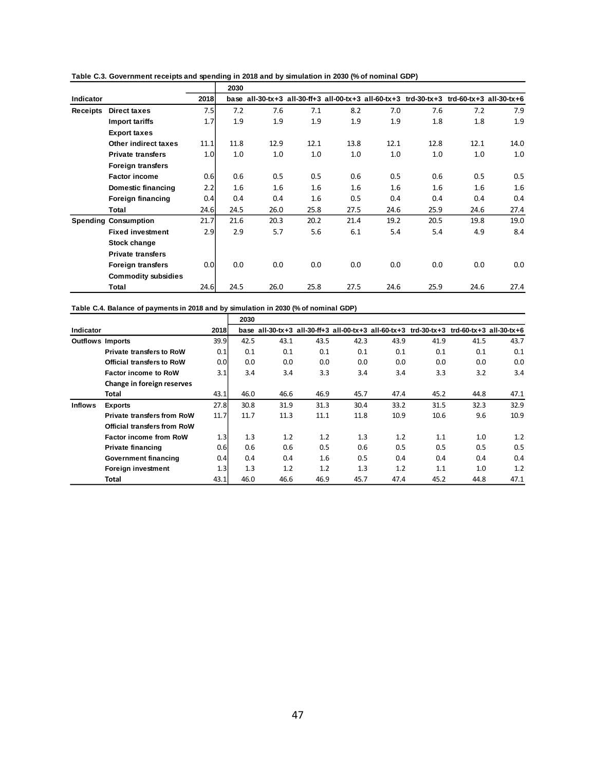|                  |                             |      | 2030 |      |      |         |      |                                                                                          |         |      |
|------------------|-----------------------------|------|------|------|------|---------|------|------------------------------------------------------------------------------------------|---------|------|
| <b>Indicator</b> |                             | 2018 |      |      |      |         |      | base all-30-tx+3 all-30-ff+3 all-00-tx+3 all-60-tx+3 trd-30-tx+3 trd-60-tx+3 all-30-tx+6 |         |      |
| <b>Receipts</b>  | <b>Direct taxes</b>         | 7.5  | 7.2  | 7.6  | 7.1  | 8.2     | 7.0  | 7.6                                                                                      | 7.2     | 7.9  |
|                  | <b>Import tariffs</b>       | 1.7  | 1.9  | 1.9  | 1.9  | 1.9     | 1.9  | 1.8                                                                                      | 1.8     | 1.9  |
|                  | <b>Export taxes</b>         |      |      |      |      |         |      |                                                                                          |         |      |
|                  | Other indirect taxes        | 11.1 | 11.8 | 12.9 | 12.1 | 13.8    | 12.1 | 12.8                                                                                     | 12.1    | 14.0 |
|                  | <b>Private transfers</b>    | 1.0  | 1.0  | 1.0  | 1.0  | 1.0     | 1.0  | 1.0                                                                                      | 1.0     | 1.0  |
|                  | <b>Foreign transfers</b>    |      |      |      |      |         |      |                                                                                          |         |      |
|                  | <b>Factor income</b>        | 0.6  | 0.6  | 0.5  | 0.5  | 0.6     | 0.5  | 0.6                                                                                      | 0.5     | 0.5  |
|                  | Domestic financing          | 2.2  | 1.6  | 1.6  | 1.6  | $1.6\,$ | 1.6  | 1.6                                                                                      | $1.6\,$ | 1.6  |
|                  | <b>Foreign financing</b>    | 0.4  | 0.4  | 0.4  | 1.6  | 0.5     | 0.4  | 0.4                                                                                      | 0.4     | 0.4  |
|                  | Total                       | 24.6 | 24.5 | 26.0 | 25.8 | 27.5    | 24.6 | 25.9                                                                                     | 24.6    | 27.4 |
|                  | <b>Spending Consumption</b> | 21.7 | 21.6 | 20.3 | 20.2 | 21.4    | 19.2 | 20.5                                                                                     | 19.8    | 19.0 |
|                  | <b>Fixed investment</b>     | 2.9  | 2.9  | 5.7  | 5.6  | 6.1     | 5.4  | 5.4                                                                                      | 4.9     | 8.4  |
|                  | Stock change                |      |      |      |      |         |      |                                                                                          |         |      |
|                  | <b>Private transfers</b>    |      |      |      |      |         |      |                                                                                          |         |      |
|                  | <b>Foreign transfers</b>    | 0.0  | 0.0  | 0.0  | 0.0  | 0.0     | 0.0  | 0.0                                                                                      | 0.0     | 0.0  |
|                  | <b>Commodity subsidies</b>  |      |      |      |      |         |      |                                                                                          |         |      |
|                  | Total                       | 24.6 | 24.5 | 26.0 | 25.8 | 27.5    | 24.6 | 25.9                                                                                     | 24.6    | 27.4 |

**Table C.3. Government receipts and spending in 2018 and by simulation in 2030 (% of nominal GDP)**

| Table C.4. Balance of payments in 2018 and by simulation in 2030 (% of nominal GDP) |  |
|-------------------------------------------------------------------------------------|--|
|-------------------------------------------------------------------------------------|--|

|                         |                                    |                  | 2030 |      |      |      |      |                                                                                     |      |      |
|-------------------------|------------------------------------|------------------|------|------|------|------|------|-------------------------------------------------------------------------------------|------|------|
| Indicator               |                                    | 2018             | base |      |      |      |      | all-30-tx+3 all-30-ff+3 all-00-tx+3 all-60-tx+3 trd-30-tx+3 trd-60-tx+3 all-30-tx+6 |      |      |
| <b>Outflows Imports</b> |                                    | 39.9             | 42.5 | 43.1 | 43.5 | 42.3 | 43.9 | 41.9                                                                                | 41.5 | 43.7 |
|                         | <b>Private transfers to RoW</b>    | 0.1              | 0.1  | 0.1  | 0.1  | 0.1  | 0.1  | 0.1                                                                                 | 0.1  | 0.1  |
|                         | <b>Official transfers to RoW</b>   | 0.0 <sub>l</sub> | 0.0  | 0.0  | 0.0  | 0.0  | 0.0  | 0.0                                                                                 | 0.0  | 0.0  |
|                         | <b>Factor income to RoW</b>        | 3.1              | 3.4  | 3.4  | 3.3  | 3.4  | 3.4  | 3.3                                                                                 | 3.2  | 3.4  |
|                         | Change in foreign reserves         |                  |      |      |      |      |      |                                                                                     |      |      |
|                         | Total                              | 43.1             | 46.0 | 46.6 | 46.9 | 45.7 | 47.4 | 45.2                                                                                | 44.8 | 47.1 |
| <b>Inflows</b>          | <b>Exports</b>                     | 27.8             | 30.8 | 31.9 | 31.3 | 30.4 | 33.2 | 31.5                                                                                | 32.3 | 32.9 |
|                         | <b>Private transfers from RoW</b>  | 11.7             | 11.7 | 11.3 | 11.1 | 11.8 | 10.9 | 10.6                                                                                | 9.6  | 10.9 |
|                         | <b>Official transfers from RoW</b> |                  |      |      |      |      |      |                                                                                     |      |      |
|                         | <b>Factor income from RoW</b>      | 1.3              | 1.3  | 1.2  | 1.2  | 1.3  | 1.2  | 1.1                                                                                 | 1.0  | 1.2  |
|                         | <b>Private financing</b>           | 0.6              | 0.6  | 0.6  | 0.5  | 0.6  | 0.5  | 0.5                                                                                 | 0.5  | 0.5  |
|                         | Government financing               | 0.4              | 0.4  | 0.4  | 1.6  | 0.5  | 0.4  | 0.4                                                                                 | 0.4  | 0.4  |
|                         | Foreign investment                 | 1.3              | 1.3  | 1.2  | 1.2  | 1.3  | 1.2  | 1.1                                                                                 | 1.0  | 1.2  |
|                         | Total                              | 43.1             | 46.0 | 46.6 | 46.9 | 45.7 | 47.4 | 45.2                                                                                | 44.8 | 47.1 |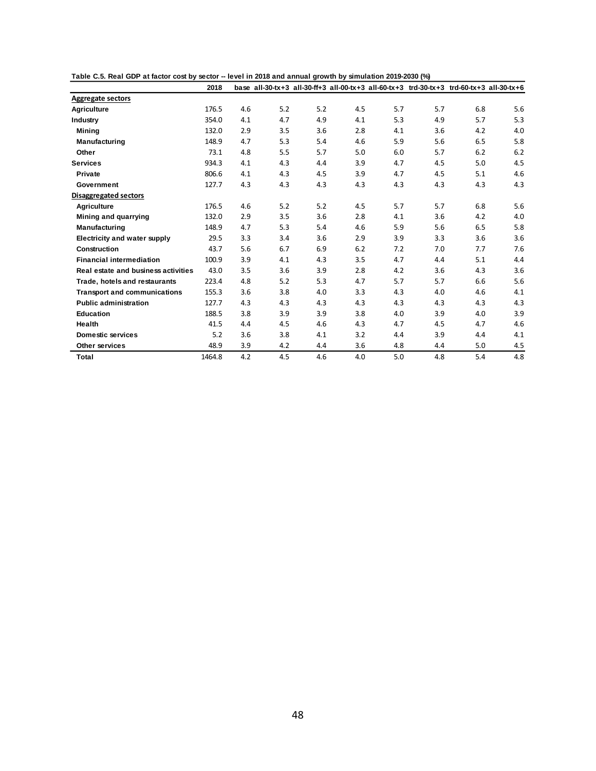|                                     | 2018   |     |     |     |     |     | base all-30-tx+3 all-30-ff+3 all-00-tx+3 all-60-tx+3 trd-30-tx+3 trd-60-tx+3 all-30-tx+6 |     |     |
|-------------------------------------|--------|-----|-----|-----|-----|-----|------------------------------------------------------------------------------------------|-----|-----|
| <b>Aggregate sectors</b>            |        |     |     |     |     |     |                                                                                          |     |     |
| <b>Agriculture</b>                  | 176.5  | 4.6 | 5.2 | 5.2 | 4.5 | 5.7 | 5.7                                                                                      | 6.8 | 5.6 |
| Industry                            | 354.0  | 4.1 | 4.7 | 4.9 | 4.1 | 5.3 | 4.9                                                                                      | 5.7 | 5.3 |
| Mining                              | 132.0  | 2.9 | 3.5 | 3.6 | 2.8 | 4.1 | 3.6                                                                                      | 4.2 | 4.0 |
| Manufacturing                       | 148.9  | 4.7 | 5.3 | 5.4 | 4.6 | 5.9 | 5.6                                                                                      | 6.5 | 5.8 |
| Other                               | 73.1   | 4.8 | 5.5 | 5.7 | 5.0 | 6.0 | 5.7                                                                                      | 6.2 | 6.2 |
| <b>Services</b>                     | 934.3  | 4.1 | 4.3 | 4.4 | 3.9 | 4.7 | 4.5                                                                                      | 5.0 | 4.5 |
| Private                             | 806.6  | 4.1 | 4.3 | 4.5 | 3.9 | 4.7 | 4.5                                                                                      | 5.1 | 4.6 |
| Government                          | 127.7  | 4.3 | 4.3 | 4.3 | 4.3 | 4.3 | 4.3                                                                                      | 4.3 | 4.3 |
| <b>Disaggregated sectors</b>        |        |     |     |     |     |     |                                                                                          |     |     |
| Agriculture                         | 176.5  | 4.6 | 5.2 | 5.2 | 4.5 | 5.7 | 5.7                                                                                      | 6.8 | 5.6 |
| Mining and quarrying                | 132.0  | 2.9 | 3.5 | 3.6 | 2.8 | 4.1 | 3.6                                                                                      | 4.2 | 4.0 |
| Manufacturing                       | 148.9  | 4.7 | 5.3 | 5.4 | 4.6 | 5.9 | 5.6                                                                                      | 6.5 | 5.8 |
| <b>Electricity and water supply</b> | 29.5   | 3.3 | 3.4 | 3.6 | 2.9 | 3.9 | 3.3                                                                                      | 3.6 | 3.6 |
| Construction                        | 43.7   | 5.6 | 6.7 | 6.9 | 6.2 | 7.2 | 7.0                                                                                      | 7.7 | 7.6 |
| <b>Financial intermediation</b>     | 100.9  | 3.9 | 4.1 | 4.3 | 3.5 | 4.7 | 4.4                                                                                      | 5.1 | 4.4 |
| Real estate and business activities | 43.0   | 3.5 | 3.6 | 3.9 | 2.8 | 4.2 | 3.6                                                                                      | 4.3 | 3.6 |
| Trade, hotels and restaurants       | 223.4  | 4.8 | 5.2 | 5.3 | 4.7 | 5.7 | 5.7                                                                                      | 6.6 | 5.6 |
| <b>Transport and communications</b> | 155.3  | 3.6 | 3.8 | 4.0 | 3.3 | 4.3 | 4.0                                                                                      | 4.6 | 4.1 |
| <b>Public administration</b>        | 127.7  | 4.3 | 4.3 | 4.3 | 4.3 | 4.3 | 4.3                                                                                      | 4.3 | 4.3 |
| <b>Education</b>                    | 188.5  | 3.8 | 3.9 | 3.9 | 3.8 | 4.0 | 3.9                                                                                      | 4.0 | 3.9 |
| Health                              | 41.5   | 4.4 | 4.5 | 4.6 | 4.3 | 4.7 | 4.5                                                                                      | 4.7 | 4.6 |
| <b>Domestic services</b>            | 5.2    | 3.6 | 3.8 | 4.1 | 3.2 | 4.4 | 3.9                                                                                      | 4.4 | 4.1 |
| Other services                      | 48.9   | 3.9 | 4.2 | 4.4 | 3.6 | 4.8 | 4.4                                                                                      | 5.0 | 4.5 |
| Total                               | 1464.8 | 4.2 | 4.5 | 4.6 | 4.0 | 5.0 | 4.8                                                                                      | 5.4 | 4.8 |

**Table C.5. Real GDP at factor cost by sector -- level in 2018 and annual growth by simulation 2019-2030 (%)**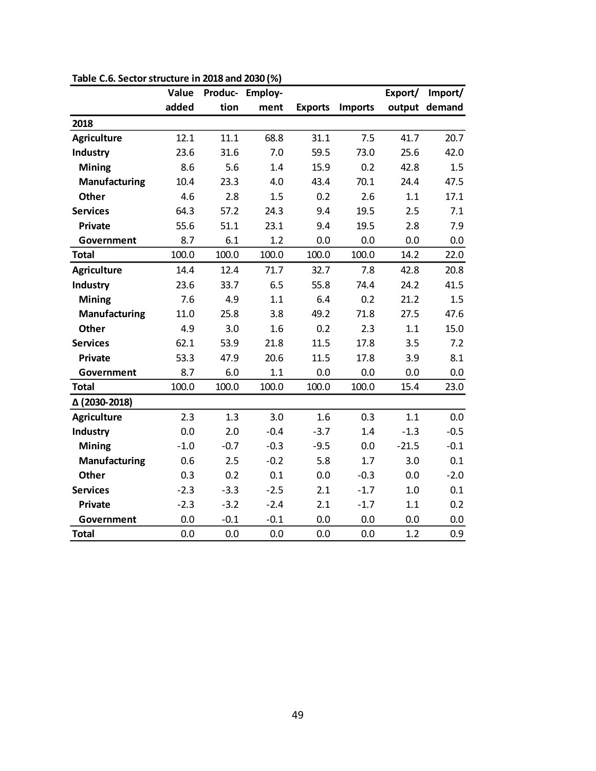|                      | Value  | Produc- | <b>Employ-</b> |                |                | Export/ | Import/       |
|----------------------|--------|---------|----------------|----------------|----------------|---------|---------------|
|                      | added  | tion    | ment           | <b>Exports</b> | <b>Imports</b> |         | output demand |
| 2018                 |        |         |                |                |                |         |               |
| <b>Agriculture</b>   | 12.1   | 11.1    | 68.8           | 31.1           | 7.5            | 41.7    | 20.7          |
| <b>Industry</b>      | 23.6   | 31.6    | 7.0            | 59.5           | 73.0           | 25.6    | 42.0          |
| Mining               | 8.6    | 5.6     | 1.4            | 15.9           | 0.2            | 42.8    | 1.5           |
| Manufacturing        | 10.4   | 23.3    | 4.0            | 43.4           | 70.1           | 24.4    | 47.5          |
| <b>Other</b>         | 4.6    | 2.8     | 1.5            | 0.2            | 2.6            | 1.1     | 17.1          |
| <b>Services</b>      | 64.3   | 57.2    | 24.3           | 9.4            | 19.5           | 2.5     | 7.1           |
| Private              | 55.6   | 51.1    | 23.1           | 9.4            | 19.5           | 2.8     | 7.9           |
| Government           | 8.7    | 6.1     | 1.2            | 0.0            | 0.0            | 0.0     | 0.0           |
| <b>Total</b>         | 100.0  | 100.0   | 100.0          | 100.0          | 100.0          | 14.2    | 22.0          |
| <b>Agriculture</b>   | 14.4   | 12.4    | 71.7           | 32.7           | 7.8            | 42.8    | 20.8          |
| Industry             | 23.6   | 33.7    | 6.5            | 55.8           | 74.4           | 24.2    | 41.5          |
| <b>Mining</b>        | 7.6    | 4.9     | 1.1            | 6.4            | 0.2            | 21.2    | 1.5           |
| Manufacturing        | 11.0   | 25.8    | 3.8            | 49.2           | 71.8           | 27.5    | 47.6          |
| Other                | 4.9    | 3.0     | 1.6            | 0.2            | 2.3            | 1.1     | 15.0          |
| <b>Services</b>      | 62.1   | 53.9    | 21.8           | 11.5           | 17.8           | 3.5     | 7.2           |
| <b>Private</b>       | 53.3   | 47.9    | 20.6           | 11.5           | 17.8           | 3.9     | 8.1           |
| Government           | 8.7    | 6.0     | 1.1            | 0.0            | 0.0            | 0.0     | 0.0           |
| <b>Total</b>         | 100.0  | 100.0   | 100.0          | 100.0          | 100.0          | 15.4    | 23.0          |
| △ (2030-2018)        |        |         |                |                |                |         |               |
| <b>Agriculture</b>   | 2.3    | 1.3     | 3.0            | 1.6            | 0.3            | 1.1     | 0.0           |
| Industry             | 0.0    | 2.0     | $-0.4$         | $-3.7$         | 1.4            | $-1.3$  | $-0.5$        |
| <b>Mining</b>        | $-1.0$ | $-0.7$  | $-0.3$         | $-9.5$         | 0.0            | $-21.5$ | $-0.1$        |
| <b>Manufacturing</b> | 0.6    | 2.5     | $-0.2$         | 5.8            | 1.7            | 3.0     | 0.1           |
| <b>Other</b>         | 0.3    | 0.2     | 0.1            | 0.0            | $-0.3$         | 0.0     | $-2.0$        |
| <b>Services</b>      | $-2.3$ | $-3.3$  | $-2.5$         | 2.1            | $-1.7$         | 1.0     | 0.1           |
| Private              | $-2.3$ | $-3.2$  | $-2.4$         | 2.1            | $-1.7$         | 1.1     | 0.2           |
| Government           | 0.0    | $-0.1$  | $-0.1$         | 0.0            | 0.0            | 0.0     | 0.0           |
| <b>Total</b>         | 0.0    | 0.0     | 0.0            | 0.0            | 0.0            | 1.2     | 0.9           |

**Table C.6. Sector structure in 2018 and 2030 (%)**